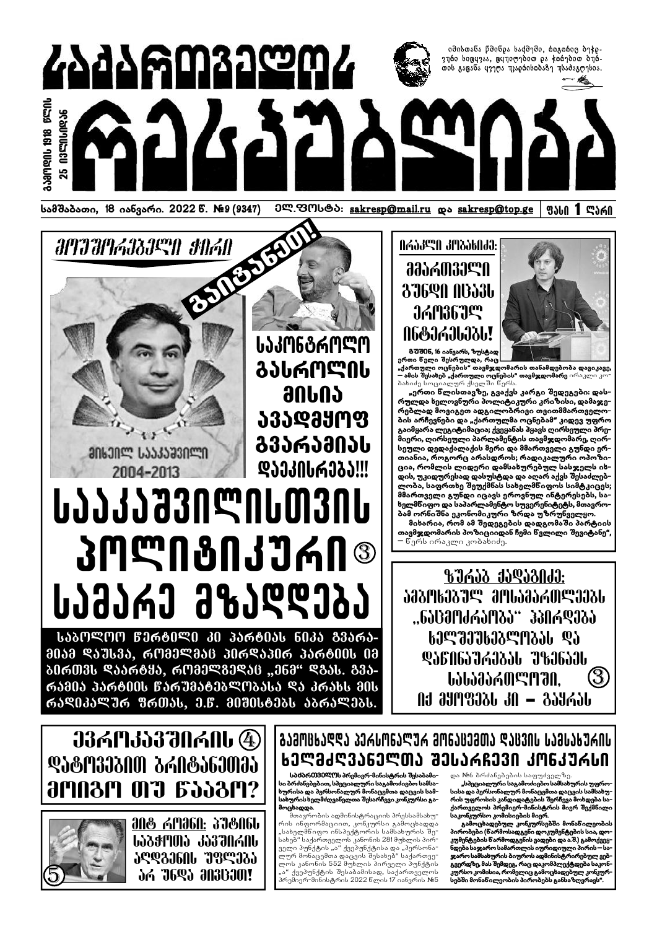

*ATTATIGASTEN SUGN* 

**an&3n**ee USS3S330een





ერთი ნელი შესრულდა, რაც "<br>"ქართული ოცნების" თავმჯდომარის თანამდებობა დავიკავე,<br>– ამის შესახებ "ქართული ოცნების" თავმჯდომარე ირაკლი კო⊤ ბახიძე სოციალურ ქსელში წერს

"ერთი ნლისთავზე, გვაქვს კარგი შედეგები: დასრულდა ხელოვნური პოლიტიკური კრიზისი, დამაჯერებლად მოვიგეთ ადგილობრივი თვითმმართველობის არჩევნები და "ქართულმა ოცნებამ" კიდევ უფრო გაიმყარა ლეგიტიმაცია; ქვეყანას პყავს ღირსეული პრე−  $\delta$ იერი, ღირსეული პარლამენტის თავმჯდომარე, ღირსეული დედაქალაქის მერი და მმართველი გუნდი ერთიანია, როგორც არასდროს; რადიკალური ოპოზიცია, რომლის ლიდერი დამსახურებულ სასჯელს იხდის, უკიდურესად დასუსტდა და აღარ აქვს შესაძლებლობა, საფრთხე შეუქმნას სახელმწიფოს სიმტკიცეს; მმართველი გუნდი იცავს ეროვნულ ინტერესებს, სახელმწიფო და საპარლამენტო სუვერენიტეტს, მთავრობამ ორნიშნა ეკონომიკური ზრდა უზრუნველყო.

მიხარია, რომ ამ შედეგების დადგომაში პარტიის თავმჯდომარის პოზიციიდან ჩემი ნვლილი შევიტანე", ნერს ირაკლი კობახიძე.

**BIAJZ JJQJZNJJ:** *<u><i><b>JAJNUJJS 3MUJAJAMSJJJU*</u> .,6ᲐᲪᲛᲝᲫᲠᲐᲝᲑᲐ" ᲞᲞᲘᲠᲓᲔᲑᲐ **ᲡᲔᲚᲨᲔᲣᲮᲔᲑᲚᲝᲑᲐᲡ** ᲓᲐ ᲓᲐᲜᲘᲜᲐᲣᲠᲔᲑᲐᲡ ᲣᲖᲔᲜᲐᲔᲡ (3) *<u><b>UJUJJJAMEMAN.</u>* ՈᲥ ᲛᲧᲝᲤᲔᲑᲡ ᲙᲘ — ᲒᲐᲧᲠᲐᲡ

**ᲡᲐᲙᲝᲜᲒᲠᲝᲚᲝ ᲒᲐᲡᲠᲝᲚᲘᲡ** 90002 ᲐᲕᲐᲓᲛᲧᲝᲤ ᲒᲕᲐᲠᲐᲛᲘᲐᲡ ᲓᲐᲔᲙᲘᲡᲠᲔᲑᲐ!!!

# 2004-2013 **WY73870WU0300 3MWN8NJ376N® UJJJMJ J&JQQJJJ**

ᲡᲐᲑᲝᲚᲝᲝ ᲬᲔᲠᲢᲘᲚᲘ ᲙᲘ ᲞᲐᲠᲢᲘᲐᲡ ᲜᲘᲙᲐ ᲒᲕᲐᲠᲐ-ᲛᲘᲐᲛ ᲓᲐᲣᲡᲕᲐ, ᲠᲝᲛᲔᲚᲛᲐᲪ ᲞᲘᲠᲓᲐᲞᲘᲠ ᲞᲐᲠᲢᲘᲘᲡ ᲘᲛ ᲑᲘᲠᲗᲕᲡ ᲓᲐᲐᲠᲢᲧᲐ, ᲠᲝᲛᲔᲚᲒᲔᲓᲐᲪ "ᲔᲜᲛ" ᲓᲒᲐᲡ. ᲒᲕᲐ-ᲠᲐᲛᲘᲐ ᲞᲐᲠᲢᲘᲘᲡ ᲬᲐᲠᲣᲛᲐᲢᲔᲑᲚᲝᲑᲐᲡᲐ ᲓᲐ ᲙᲠᲐᲮᲡ ᲛᲘᲡ ᲠᲐᲓᲘᲙᲐᲚᲣᲠ ᲤᲠᲗᲐᲡ, Ე.Წ. ᲛᲘᲨᲘᲡᲢᲔᲑᲡ ᲐᲑᲠᲐᲚᲔᲑᲡ.

# **J3AMJJ370ANU 4** ᲓᲐᲢᲝᲕᲔᲑᲘᲗ ᲑᲠᲘᲢᲐᲜᲔᲗᲛᲐ *<u><b>amnam 017 6558M?</u>*





# <u>ᲒᲐᲛᲝᲪᲮᲐᲓᲓᲐ ᲞᲔᲠᲡᲝᲜᲐᲚᲣᲠ ᲛᲝᲜᲐᲪᲔᲛᲗᲐ ᲓᲐᲪᲕᲘᲡ ᲡᲐᲛᲡᲐᲮᲣᲠᲘᲡ </u> **ᲡᲔᲚᲛᲫᲦᲕᲐᲜᲔᲚᲗᲐ ᲨᲔᲡᲐᲠᲩᲔᲕᲘ ᲙᲝᲜᲙᲣᲠᲡᲘ**

სბძბრ0130ᲚᲝს პრემიერ-მინისტრის შესაბამისი ბრძანებებით, სპეციალური საგამოძიებო სამსახურისა და პერსონალურ მონაცემთა დაცვის სამსახურის ხელმძღვანელთა შესარჩევი კონკურსი გამოცხადდა.

შთავრობის ადმინისტრაციის პრესსამსახურის ინფორმაციით, კონკურსი გამოცხადდა "სახელმნიფო ინსპექტორის სამსახურის შესახებ" საქართველოს კანონის 281 მუხლის პირველი პუნქტის "ა" ქვეპუნქტისა და "პერსონალურ მონაცემთა დაცვის შესახებ" საქართველოს კანონის 552 მუხლის პირველი პუნქტის "ა" ქვეპუნქტის შესაბამისად, საქართველოს პრემიერ−მინისტრის 2022 წლის 17 იანვრის №5

და №6 ბრძანებების საფუძველზე.

"სპეციალური საგამოძიებო სამსახურის უფროსისა და პერსონალურ მონაცემთა დაცვის სამსახურის უფროსის კანდიდატების შერჩევა მოხდება საქართველოს პრემიერ-მინისტრის მიერ შექმნილი საკონკურსო კომისიების მიერ.

გამოცხადებულ კონკურსებში მონანილეობის პირობები (წარმოსადგენი დოკუმენტების სია, დოკუმენტების წარმოდგენის ვადები და ა.შ.) გამოქვეყ– ნდება საჯარო სამართლის იურიდიული პირის - საჯარო სამსახურის ბიუროს ადმინისტრირებულ ვებგვერდზე, მას შემდეგ, რაც დაკომპლექტდება საკონააა<br>კურსო კომისია, რომელიც გამოცხადებულ კონკურსებში მონაწილეობის პირობებს განსაზღვრავს".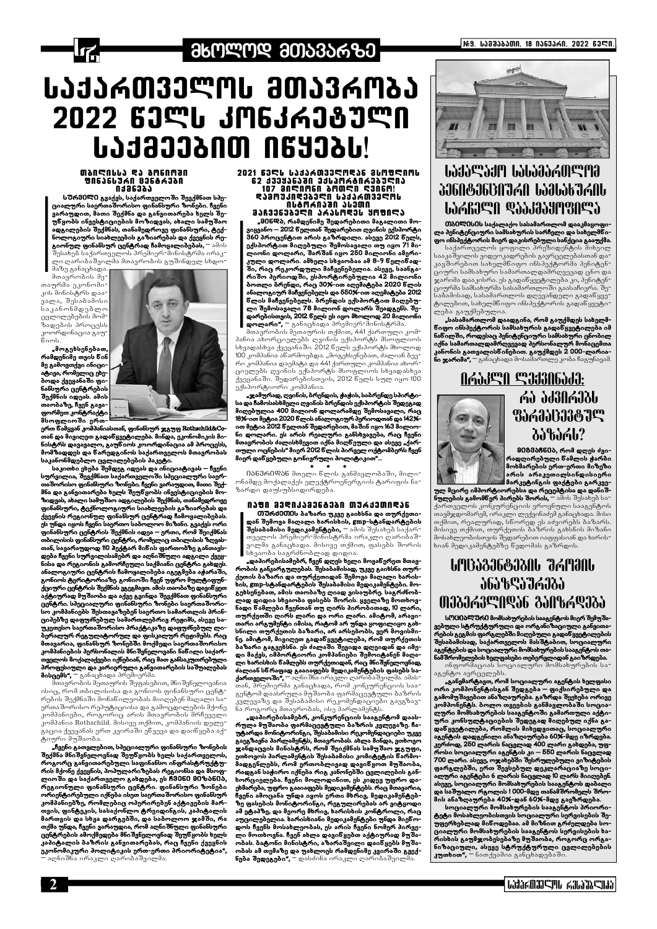

# . ᲛᲮᲝᲚᲝᲓ ᲛᲗᲐᲕᲐᲠᲖᲔ ;

# ᲡᲐᲥᲐᲠᲗᲕᲔᲚᲝᲡ ᲛᲗᲐᲕᲠᲝᲑᲐ 2022 ᲬᲔᲚᲡ ᲙᲝᲜᲙᲠᲔᲖᲣᲚᲘ LJJ2000 N6Y03L!

#### **MANA BUR CA GUARMAN**<br>MACA68CU NACJ36618M **NJ36385**

ს<mark>შრმ0</mark>ლ0 გვაქვს, საქართველოში შევქმნათ სპე-<br>ციალური საერთაშორისო ფინანსური ზონები. ჩვენი .<br>ვარაუდით, მათი შექმნა და განვითარება ხელს შე−<br>უნვობს ინვესტიციების მოზიდვას, ახალი სამუშაო ადგილების შექმნას, თანამედროვე ფინანსური, ტექ-<br>ნოლოგიური სიახლეების გაზიარებას და ქვეყნის რეგიონულ ფინანსურ ცენტრად ჩამოყალიბებას, – ამის

შესახებ საქართველოს პრემიერ-მინისტრმა ირაკ-.<br>ლი ღარიბაშვილმა მთავრობის გუშინდელ სხდო<del>-</del>

მაზე განაცხადა. მთავრობის მე-

თაურმა ეკონომიკის მინისტრს დაა ვალა, შესაბამისი საკანონმდებლო ცვლილებების მომზადების პროცესს .<br>კოორდინაცია გაუ<del>-</del>  $50<sub>mb</sub>$ 

"მოგეხსენებათ, რამდენიმე თვის წინ მე გამოვთქვი ინიცია<br>ტივა, რომელიც ეხე– ბოდა ქვეყანაში ფინანსური ცენტრების შექმნის იდეას. ამის თაობაზე, ჩვენ გავა− ფორმეთ კონტრაქტი მსოფლიოში ერთ-



ერთ წამყვან კომპანიასთან, ფინანსურ ჯგუფ Rothschild&Coთან და მივიღეთ გადაწყვეტილება. მინდა, ეკონომიკის მი− ნისტრს დავავალო, გაუწიოს კოორდინაცია ამ პროცესს, მომზადდეს და ნარედგინოს საქართველოს მთავრობას საკანონმდებლო ცვლილებების პაკეტი.

საკითხი ეხება შემდეგ იდეას და ინიციატივას – ჩვენი სურვილია, შევქმნათ საქართველოში სპეციალური საერas denotion of the control of the control of the control of the control of the control of the control of the c ადა განვითარება ხელს შეუწყობს ინვესტიციების მო-<br>მნა და განვითარება ხელს შეუწყობს ინვესტიციების მო-<br>ზიდვას, ახალი სამუშაო ადგილების შექმნას, თანამედროვე ფინანსური, ტექნოლოგიური სიახლეების გაზიარებას და ქვეყნის რეგიონულ ფინანსურ ცენტრად ჩამოყალიბებას. ეს უნდა იყოს ჩვენი საერთო საბოლოო მიზანი. გვაქვს ორი .<br>ფინანსური ცენტრის შექმნის იდეა – ერთი, რომ შეიქმნას<br>თბილისის ფინანსური ცენტრი, რომელიც თბილისის ზღვასთან, სავარაუდოდ 110 ჰექტარ მინის ფართობზე განთავსდება ჩვენი სურვილისამებრ და აღნიშნული ადგილი ქვეყნისა და რეგიონის გამორჩეული საქმიანი ცენტრი გახდეს. ანალოგიური ცენტრის ჩამოყალიბება იგეგმება აჟარაში, გონიოს ტურიტორიაზე. გონიოში ჩვენ უფრო მულტიფუნ– ქციური ცენტრის შექმნას ვგეგმავთ. ამის თაობაზე დავიწყეთ აქტიურად მუშაობა და აქვე გვინდა შევქმნათ ფინანსური ცენტრი. სპეციალური ფინანსური ზონები საერთაშორი−<br>სო კომპანიებს შესთავაზებენ საერთო სამართლის პრინ− ციპებზე დაფუძნებულ სამართლებრივ რეჟიმს, ასევე საუკეთესო საერთაშორისო პრაქტიკაზე დაფუძნებულ ლი− ბერალურ რეგულატორულ და ფისკალურ რეჟიმებს. რაც მთავარია, ფინანსურ ზონებში მოქმედი საერთაშორისო ათავათია.<br>კომპანიების პერსონალის მნიშვნელოვანი ნანილი საქარ− ა<br>თველოს მოქალაქეები იქნებიან, რაც მათ განსაკუთრებული .<br>პროფესიული და კარიერული განვითარების საშუალებას **მისცემს",** ─ განაცხადა პრემიერმა.

მთავრობის მეთაურის შეფასებით, მნიშვნელოვანია ისიც, რომ თბილისისა და გონიოს ფინანსური ცენტრების შექმნაში მონანილეობას მიიღებენ მაღალი სა-

#### 2021 63 CL LJJJA033 CNRSS 3LM9 CNNL **62 133936380 316306806383903** 107 JAMANGA SADAN 4306M! **ᲓᲐᲛᲝᲣᲙᲘᲓᲔᲑᲔᲚᲘ ᲡᲐᲥᲐᲠᲗᲕᲔᲚᲝᲡ Ո**ႱᲢᲝᲠᲘᲐᲨᲘ ᲐᲡᲔᲗᲘ **ᲛᲐᲩᲕᲔᲜᲔᲑᲔᲚᲘ ᲐᲠᲐᲡᲝᲓᲔᲡ ᲧᲝᲤᲘᲚᲐ**

"მ0ნᲓბ, რამდენიმე შედარებითი მაგალითი მოვიყვანო – 2012 წელთან შედარებით ღვინის ექსპორტი<br>360 პროცენტით არის გაზრდილი. ასევე 2012 წელს, ექსპორტით მიღებული შემოსავალი თუ იყო 71 მილიონი დოლარი, შარშან იყო 250 მილიონი ამერიკული დოლარი. ამხელა სხვაობაა ამ 8-9 წელიწადში, რაც რეკორდული მაჩვენებელია. ასევე, საანგარიშო პერიოდში, ესპორტირებულია 42 მილიონი ბოთლი ბრენდი, რაც 30%-ით აღემატება 2020 წლის ანალოგიურ მაჩვენებელს და 550%-ით აღემატება 2012 დიის მაჩვენებელს. პრენდის ექსპორტით მიღებ<del>უ</del>ლი შემოსავალი 78 მილიონ დოლარს შეადგენს. შედარებისთვის, 2012 წელს ეს იყო მხოლოდ 20 მილიონი

დოლარი", – ანაცხადა პრემიერ-მინისტრმა.<br>დოლარი", – განაცხადა პრემიერ-მინისტრმა.<br>მთავრობის მეთაურის თქმით, 441 ქართული კომპანია ახორციელებს ღვინის ექსპორტს მსოფლიოს სხვადასხვა ქვეყანაში. 2012 წელს ექსპორტს მხოლოდ 100 კომპანია აწარმოებდა. "მოგეხსენებათ, ძალიან ბევრი კომპანია დაემატა და 441 ქართული კომპანია ახორციელებს ღვინის ექსპორტს მსოფლიოს სხვადასხვა ქვეყანაში. შედარებისთვის, 2012 წელს სულ იყო 100 ექსპორტიორი კომპანია.

"ჯამურად, ღვინის, ბრენდის, ქაქის, საბრენდე სპირტისა და ჩამოსასხმელი ღვინის პრენდის ექსპორტის შედეგად<br>მიღებულია 400 მილიონ დოლარამდე შემოსავალი, რაც 18%-ით მეტია 2020 წლის ანალოგიურ პერიოდთან და 142%ით მეტია 2012 წელთან შედარებით, მაშინ იყო 163 მილიო-მთავრობის ძალისხმევით იქნა მიღწეული და ასევე "ქართული ოცნების" მიერ 2012 წლის პირველ ოქტომპერს ჩვენ მიერ დაწყებული გონივრული პოლიტიკით"...

 $\ast$ 0ან3რ0Დან მთელი ნლის განმავლობაში, მილი⊤ ონამდე მოქალაქეს ელექტროენერგიის ტარიფის ნაზარდი დაუსუბსიდირდება.

#### ᲘᲐᲤᲘ ᲛᲔᲓᲘᲙᲐᲛᲔᲜᲢᲔᲑᲘ ᲗᲣ*Რ*ᲥᲔᲗᲘᲓᲐᲜ

0) შრძმ000ს ბაზარი უკვე გაიხსნა და თურქეთიდან შემოვა მაღალი ხარისხის, gmp-სტანდარტების **შესაბამისი მედიკამენტები, —** ამის შესახებ საქარ-<br>თველოს პრემიერ-მინისტრმა ირაკლი ღარიბაშვილმა განაცხადა. მისივე თქმით, ფასებს შორის სხვაობა საგრძნობლად დიდია.

"დაპირებისამებრ, ჩვენ დღეს ხელი მოვანერეთ მთავ− რობის განკარგულებას. შესაბამისად, უკვე გაიხსნა თურ-გეხსენებათ, ამის თაობაზე ღიად ვისაუბრე. საგრძნობ-.<br>ღად დიდია სხვაობა ფასებს შორის. ყველაზე მოთხოვნადი წამლები ჩვენთან თუ ღირს პირობითად, 10 ლარი, თურქეთში ღირს ლარი და ორი ლარი. ამიტომ, არავითარი არგუმენტი იმისა, რატომ არ უნდა ყოფილიყო გახ-<br>- სნილი თურქეთის ბაზარი, არ არსებობს, ვერ მოვისმი ნე. ამიტომ, მივიღეთ გადანყვეტილება, რომ თურქეთის .<br>ბაზარი გაგვეხსნა. ეს ძალაში შევიდა დღეიდან და იმე-<br>დი მაქვს, იმპორტიორი კომპანიები შემოიტანენ მაღალი ხარისხის წამლებს თურქეთიდან, რაც მნიშვნელოვნად, ძალიან სწრაფად გააიაფებს მედიკამენტების ფასებს საქართველოში", <sup>—</sup> აღნიშნა ირაკლი ღარიბაშვილმა. ამას-.<br>თან, პრემიერმა განაცხადა, რომ კონკურენციის საა<del>-</del> გენტომ დაასრულა მუშაობა ფარმაცევტული ბაზრის



|№9. ᲡᲐᲛᲨᲐᲑᲐᲗᲘ, 18 ᲘᲐᲜᲕᲐᲠᲘ, 2022 ᲬᲔᲚᲘ.

# **ᲡᲐᲥᲐᲚᲐᲥᲝ ᲡᲐᲡᲐᲛᲐᲠᲗᲚᲝᲛ WARJAU GIIIIIIIIIIIIII**

0) გელესეს საქალაქო სასამართლომ დააკმაყოფილა პენიტენციური სამსახურის სარჩელი და სახელმწიფო ინსპექტორის მიერ დაკისრებული სანქცია გააუქმა.

საქართველოს ყოფილი პრეზიდენტის მიხეილ სააკაშვილის ვიდეოკადრების გავრცელებასთან დაკავშირებით სახელმნიფო ინსპექტორმა პენიტენციური სამსახური სამართალდამრღვევად ცნო და ჯარიმა დააკისრა. ეს გადაწყვეტილება კი, პენიტენციურმა სამსახურმა სასამართლოში გაასაჩივრა. შესაბამისად, სასამართლოს დღევანდელი გადაწყვე-.<br>ტილებით, სახელმნიფო ინსპექტორის გადანყვეტი<sup>-</sup> ლება გაუქმებულია.

"სასამართლომ დაადგინა, რომ გაუქმდეს სახელმნიფო ინსპექტორის სამსახურის გადანყვეტილება იმ ნაწილში, როდესაც პენიტენციური სამსახური ცნობილ იქნა სამართალდამრღვევად პერსონალურ მონაცემთა კანონის გათვალისნინებით. გაუქმდეს 2 000-ლარიანი ჯარიმა", <sup>—</sup> განაცხადა მოსამართლე კობა ჩაგუნავამ.

> AGJJIA SJJJANGJJ: ri da da kasar Gab **3563583879 პაზარს?**

> > მ0ბმბჩნ0ბ, რომ დღეს ძვირადღირებული ნამლის <mark>ჭ</mark>არბი მოხმარების ერთ-ერთი მიზეზი არის არაკეთილსინდისიერი მარკეტინგის ფაქტები გარკვე-

ულ მცირე იმპორტიორებსა და რეცეპტისა და დანიშ–<br><mark>ნულების გამომნერ პირებს შორის, –</mark> ამის შესახებ სა− ქართველოს კონკურენციის ეროვნული სააგენტოს თავმჯდომარემ, ირაკლი ლექვინაძემ განაცხადა. მისი თქმით, რეალურად, სნორედ ეს აძვირებს ბაზარს. მისივე თქმით, თურქეთის ბაზრის გახსნის მიზანი მოსახლეობისთვის შედარებით იაფფასიან და ხარისხიან მედიკამენტებზე წვდომას გაზრდის.

# ԵՐԱՆՇՅԵՖՅՇՈԵՐ ᲨᲠᲝᲛᲘᲜ **ᲐᲜᲐᲖᲦᲐᲣᲠᲔᲑᲐ** ՠᲔᲑᲔᲠᲕᲚᲘᲓᲐᲜ ᲒᲐᲘᲖᲠᲓᲔᲑᲐ

სᲝᲪᲘᲐᲚᲣᲠᲘ მომსახურების სააგენტოს მიერ შემუშა ვებული სტრუქტურული და ორგანიზაციული განვითაო – თავა –და ათათათა და არაგათ ააციული გაფითა –<br>რების გეგმის ფარგლებში მიღებული გადაწყვეტილების<br>შესაბამისად, საქართველოს მასშტაბით, სოციალური<br>აგენტების და სოციალური მომსახურების სააგენტოს თანამ შრომელების ხელფასები თებერვლიდან გაიზრდება.

ინფორმაციას სოციალური მომსახურების სააგენ<mark>ტო ავრცელებს</mark>.

კომპონენტს. ბოლო თვეების განმავლობაში სოციალური მომსახურების სააგენტოში გამართული აქტიური კონსულტაციების შედეგად მიღებულ იქნა გადანყვეტილება, რომლის მიხედვითაც, სოციალური აგენტის დადგენილი ანაზღაურება 60%-მდე იზრდება. კერძოდ, 250 ლარის ნაცვლად 400 ლარი გახდება, უფროსი სოციალური აგენტის კი – 550 ლარის ნაცვლად .<br>700 ლარი. ასევე, ოჯახებში შესრულებული ვიზიტების ფარგლებში, ერთ შევსებულ დეკლარაციაზე სოციალური აგენტები 6 ლარის ნაცვლად I0 ლარს მიიღებენ. ასევე, სოციალური მომსახურების სააგენტოს დაბალი და საშუალო რგოლის 1 000-მდე თანამშრომელს შრომის ანაზღაურება 40%-დან 60%-მდე გაეზრდება. სოციალური მომსახურების სააგენტოს პრიორიტეტი მოსახლეობისთვის სოციალური სერვისების შე− უფერხებლად მინოდებაა. ამ მიზნით გრძელდება სო− ციალური მომსახურების სააგენტოს სერვისების ხარისხის გაუმჯობესებაზე მუშაობა, როგორც ორგანიზაციული, ასევე სტრუქტურული ცვლილებების კუთხით", – ნათქვამია განცხადებაში.

ერთაშორისო რეპუტაციისა და გამოცდილების მქონე კომპანიები, როგორიც არის მთავრობის მრჩეველი კომპანია Rothschild. მისივე თქმით, კომპანიის დელეგაცია ქვეყანას ერთ კვირაში ენვევა და დაინყება აქტიური მუშაობა

"ჩვენი გათვლებით, სპეციალური ფინანსური ზონების შექმნა მნიშვნელოვნად შეუნყობს ხელს საქართველოს, როგორც განვითარებული საფინანსო ინფრასტრუქტურის მქონე ქვეყნის, პოპულარიზებას რეგიონსა და მსოფლიოში და საქართველო გახდება, ეს ჩმმნ0 მ0ზბნ0ბ, რეგიონული ფინანსური ცენტრი. ფინანსური ზონები ორიენტირებული იქნება ისეთ საერთაშორისო ფინანსურ კომპანიებზე, რომლებიც ოპერირებენ აქტივების მარ-.<br>თვის, ფინტეკის, სასაქონლო ტრეიდინგის, კაპიტალის მართვის და სხვა დარგებში, და საბოლოო ჯამში, რა თქმა უნდა, ჩვენი ვარაუდია, რომ აღნიშნული ფინანსური ცენტრების ამოქმედება მნიშვნელოვნად შეუწყობს ხელს კაპიტალის ბაზრის განვითარებას, რაც ჩვენი ქვეყნის ეკონომიკური პოლიტიკის ერთ-ერთი პრიორიტეტია", აღნიშნა ირაკლი ღარიბაშვილმა.

ვლევაზე და შესაბამისი რეკომენდაციები გაეგზავ ნა როგორც მთავრობას, ისე პარლამენტს.

"დაპირებისამებრ, კონკურენციის სააგენტომ დაასრულა მუშაობა ფარმაცევტული ბაზრის კვლევაზე. ჩაუტარდა მონიტორინგი, შესაბამისი რეკომენდაციები უკვე გაეგზავნა პარლამენტს, მთავრობას. ახლა მინდა, ვთხოვო ჯანდაცვის მინისტრს, რომ შეიქმნას სამუშაო ჯგუფი, ეთხოვოს პარლამენტის შესაბამისი კომიტეტის ნარმომადგენლებს, რომ ერთობლივად დავინყოთ მუშაობა, რადგან საჭირო იქნება რიგ კანონებში ცვლილების განხორციელება. ჩვენი მოლოდინით, ეს კიდევ უფრო დაეხმარება, უფრო გააიაფებს მედიკამენტებს. რაც მთავარია, ჩვენი ამოცანა უნდა იყოს ერთი მხრივ, მედიკამენტებზე ფასების მონიტორინგი, რეგულირებას არ ვიტყოდი ამ ეტაპზე, და მეორე მხრივ, ხარისხის კონტროლი, რაც აუცილებელია. ხარისხიანი მედიკამენტები უნდა მიენოდოს ჩვენს მოსახლეობას, ეს არის ჩვენი ნომერ პირვე− ლი მოთხოვნა. ჩვენ ახლა დავიწყებთ აქტიურად მუშაობას. ბატონი მინისტრი, აზარაშვილი დაინყებს მუშაობას ამ თემაზე და უახლოეს რამდენიმე კვირაში გვექნება შედეგები", <sup>–</sup> დასძინა ირაკლი ღარიბაშვილმა.

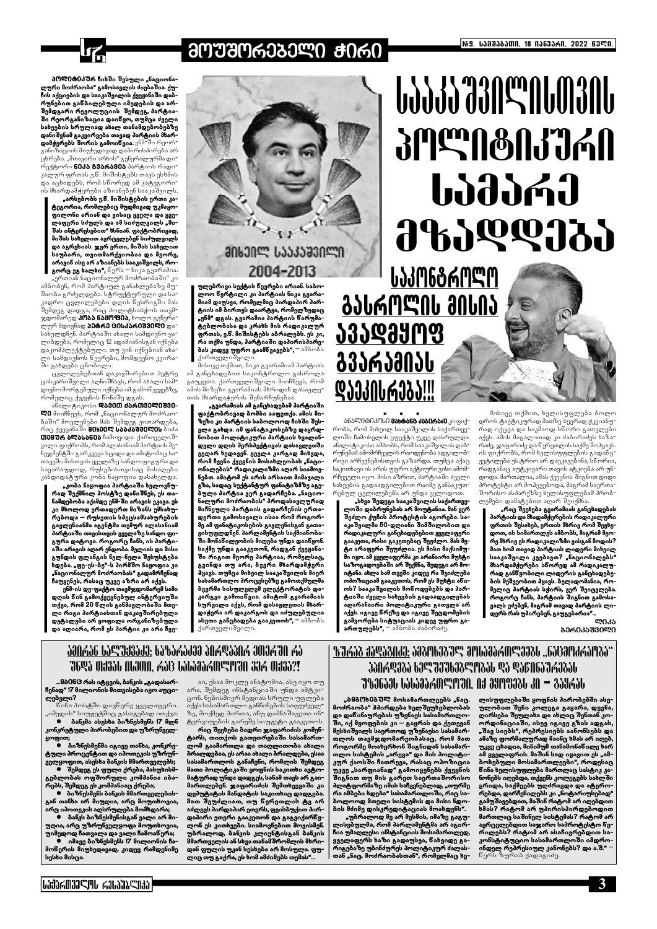

# **ᲛᲝᲣᲨᲝᲠᲔᲑᲔᲚᲘ ᲭᲘᲠᲘ**

პᲝᲚᲘᲢᲘᲙᲣრ ჩიხში შესული "ნაციონა ლური მოძრაობა" გამოსავლის ძიებაშია. ქ<del>უ</del>ჩის აქციების და სააკაშვილის ქვეყანაში დაბრუნებით განბილებული იმედების და არშემდგარი რევოლუციის შემდეგ, პარტიაში რეორგანიზაცია დაიწყო, თუმცა ძველი სახეების სრულიად ახალ თანამდებობებზე დანიშვნამ გაკვირვება თავად პარტიის მხარდამჭერებს შორის გამოიწვია. ენმ-ში რეორ განიზაციის მიუხედავად დაპირისპირება არ ცხრება. "მთავარი არხის" გენერალურმა დირექტორი **წ0ძბ გვარამ0ა** პარტიის რადი კალურ ფრთას ე.წ. მიშისტებს თავს ესხმის და აცხადებს, რომ სწორედ ამ კატეგორიის მხარდამჭერები აზიანებენ სააკაშვილს.

"არსებობს ე.წ. მიშისტების ერთი კატეგორია, რომლებიც მუდმივად უკმაყო− ფილონი არიან და ვისაც ყველა და ყვე-შას ინტერესებით" ხსნიან. ფაქტობრივად, მიშას სახელით ავრცელებენ სიძულვილს და აგრესიას. ჯერ ერთი, მიშას სახელით საუბარი, თვითმარქვიობაა და მეორე, არავინ ისე არ აზიანებს სააკაშვილს, როგორც ეგ ხალხი", წერს – ნიკა გვარამია.

"ერთიან ნაციონალურ მოძრაობაში" კი ამბობენ, რომ პარტიულ განახლებაზე მუშაობა გრძელდება. სტრუქტურული და საკადრო ცვლილებები დღის ნესრიგში მას შემდეგ დადგა, რაც პოლიტსაბჭოს თავმვდომარედ **პობა ნაშოფია,** ხოლო გენერალურ მდივნად **პეტრე ცესპარ0შვ0ლ0** დასახელდნენ. პარტიაში ახალი სამდივნო ყალიბდება, რომელიც 12 ადამიანისგან იქნება დაკომპლექტებული. თუ ვინ იქნებიან ახალი სამდივნოს წევრები, მომდევნო კვირაში გახდება ცნობილი.

ცვლილებებთან დაკავშირებით პეტრე ცისკარიშვილი აღნიშნავს, რომ ახალი სამდივნო მორგებული იქნება იმ გამოწვევებზე, რომელიც ქვეყნის წინაშე დგას

ანალიტიკოსი **დავეთ ძპრთველეუვე-** $\blacksquare 0$  მიიჩნევს, რომ "ნაციონალურ მოძრაო ბაში" მოვლენები მას შემდეგ ვითარდება, რაც ქვეყანაში **მ0ხ00Ლ სააპაუშილის** პიძა 0009 შრ ბლბსბნ0ბ ჩამოვიდა. ქართველი შვილი ფიქრობს, რომ ალასანიამ პარტიის მენეჯმენტში გარკვევა სცადა და ამიტომაც სათავეში მისთვის ყველაზე სანდო ფიგურა და სავარაუდოდ, რუსებისთვისაც მისაღები კანდიდატურა კობა ნაყოფია დასახელდა.

"კობა ნაყოფია პარტიაში ხელოვნუ− რად შექმნილ პოსტზე დანიშნეს, ეს თანამდებობა აქამდე ენმ–ში არავის ეკავა ეს კი მხოლოდ ერთადერთ მიზანს ემსახურებოდა – რუსეთის სპეცსამსახურების გავლენიანმა აგენტმა თემურ ალასანიამ პარტიაში თავისთვის ყველაზე სანდო ფიგურა დატოვა. როგორც ჩანს, ის პარტი-.<br>აში არავის აღარ ენდობა. მელიას და მისი გუნდის ფლანგის ნელ-ნელა შესუსტება ადება. "ფე-ეს-ბე"-ს პირმშო ნაყოფია კი "ნაციონალურ მოძრაობას" გადამრჩენად ჩაუყენეს, რასაც უკვე აზრი არ აქვს.

ენმ-ის დე-ფაქტო თავმჯდომარემ სამი დღის ნინ გამოქვეყნებულ ინტერვიუში თქვა, რომ 20 წლის განმავლობაში მთელი რიგი პარტიასთან დაკავშირებული დეტალები არ ყოფილა ორგანიზებული და აღიარა, რომ ეს პარტია კი არა ჩვე-



ულებრივი სექტის ნევრები არიან საბო-<br>ლოო ნერტილი კი პარტიას ნიკა გვარამიამ დაუსვა, რომელმაც პირდაპირ პარტიის იმ ბირთეს დაარტყა, რომელზედაც "ენმ" დგას. გვარამია პარტიის წარუმატებლობასა და კრახს მის რადიკალურ ფრთას, ე.წ. მიშისტებს აბრალებს. ეს კი, რა თქმა უნდა, პარტიაში დაპირისპირე**ბას კიდევ უფრო გაამწვავებს",** – ამბობს ქართველიშვილი.

მისივე თქმით, ნიკა გვარამიამ პარტიას ამ განცხადებით საკონტროლო გასროლა გაუკეთა. ქართველიშვილი მიიჩნევს, რომ ამის მიზეზი გვარამიას მხრიდან დასავლეთის მხარდაჭერის შენარჩუნებაა

"გვარამიას ამ განცხადებამ პარტიაში ფაქტობრივად ბომბი ააფეთქა. ამის მიზეზი კი პარტიის საბოლოოდ ჩიხში შესვლა გახდა. იმ ფანატიკოსებზე დაყრდნობით პოლიტიკური პარტიის ხვალინდელი დღის პერსპექტივას დასავლეთში ვეღარ ხედავენ. ყევლა კარგად მიხვდა, რომ ჩვენი ქვეყნის მოსახლეობას "ნაციონალების" რადიკალიზმი აღარ სიამოვნებთ. ამიტომ ეს არის არსაით მიმავალი გზა, სადაც სექტანტურ ფანატიზმზე აგებული პარტია ვერ გადარჩება. "ნაციონალური მოძრაობის" პროდასავლურად მიჩნეული პარტიის გადარჩენის ერთადერთი გამოსავალი ისაა რომ როგორ-.<br>მე ამ ფანატიკოსების გავლენისგან გათავისუფლდნენ. პარლამენტის საქმიანობა-.<br>ში მონანილეობის მიღება უნდა დაინყონ. საქმე უნდა გააკეთონ, რადგან ქვეყანაში რიგით მეორე პარტიაა, რომელსაც, გვინდა თუ არა, ბევრი მხარდამჭერი <mark>პ</mark>ყავს. თუმცა მიხეილ სააკაშვილის მიერ აასამართლო პროცესებზე გამოთქმულმა ბევრმა სისულელემ ელექტორატის დაკარგვა გამოინვია. ამიტომ გვარამიას სურვილი აქვს, რომ დასავლეთის მხარდაჭერა არ დაკარგოს და იძულებულია ა<mark>სეთი განცხადება გააკეთოს",</mark> — ამბობს ქართველიშვილი.

# UDDDD GJNS NUM3NL **APLADAR SPORTS Udddrid** 9899935



ᲐᲜᲐᲚᲘᲢᲘᲙᲝᲡᲘ **ᲕᲐᲮᲢᲐᲜᲒ ᲫᲐᲑᲘᲠᲐᲫᲔ** კი ფიქ<del>-</del> რობს, რომ მიხეილ სააკაშვილის საქართველოში ჩამოსვლის ეფექტი უკვე დასრულდა. ანალიტიკოსი ამბობს, რომ სააკაშვილის დაბრუნებამ ამომრჩევლის რაოდენობა ადგილობრივი არჩევნებისთვის გაზარდა. თუმცა აქაც საკითხავი ის არის უფრო აქტიური ვისი ამომრჩეველი იყო. მისი აზრით, პარტიაში ძველი სახეების გადაადგილებით რაიმე განსაკუთრებულ ცვლილებებს არ უნდა ველოდოთ.

<u>ᲐᲕᲐᲓᲛᲧᲝᲤ</u>

<u> გველეფიე</u>ი

<u>ᲓᲐᲔᲙᲘᲡᲠᲔᲑᲐ!!!</u>

"სხვა შედეგი სააკაშვილის საქართვე− ოში დაბრუნებას არ მოუტანია. მან ვერ შეძლო ქუჩის პროტესტის აგორება. სააკაშვილმა 50-დღიანი შიმშილობით და რადიკალური განცხადებებით ყველაფერი გააკეთა, რისი გაკეთებაც შეეძლო. მას მე− ტი არაფერი შეუძლია. ეს მისი მაქსიმუმი იყო. ამ ყველაფერმა კი არანაირი მუხტი საზოგადოებაში არ შექმნა, შედეგი არ მოიტანა. ახლა სამ თვეში კიდევ რა შეიძლება ოპოზიციამ გააკეთოს, რომ ეს მუხტი ანი-.............<br>ოს? სააკაშვილის მონოდებებს და პარტიაში ძველი სახეების გადაადგილებას აღარანაირი პოლიტიკური გათვლა არ აქვს. იგივე წრეზე და იგივე შეცდომების გამეორება სიტუაციას კიდევ უფრო გა**ართულებს",** – ამბობს ძაბირაძე.

მისივე თქმით, ხელისუფლება ბოლო დროს ტაქტიკურად მათზე ბევრად ჭკვიანურად იქცვა და საკმაოდ სწორი გათვლები აქვს. ამის მაგალითად კი ძაბირაძეს ხაზარაძე, ჯაფარიძე და წერეთლის საქმე მო<mark>პყავს</mark>. ის ფიქრობს, რომ ხელისუფლების გადაწყვეტილება ეს ტრიო არ დაეკავებინა, სწორია, რადგანაც აუტკივარი თავის ატკიე<mark>ბა არ უნ</mark>־ დოდა. მართალია, ამას ქვეყნის შიგნით დიდი პროტესტი არ მოჰყვებოდა, მაგრამ საერთა<del>-</del> შორისო ასპარეზზე ხელისუფლებამ პრობლემები დამატებით აღარ შეიქმნა

"რაც შეეხება გვარამიას განცხადებას პარტიის და მხადამჭერების რადიკალური ფრთის შესახებ, ერთის მხრივ რომ შევხედოთ, ის სიმართლეს ამბობს, მაგრამ მეორე მხრივ ეს რადიკალიზმი ვისგან მოდის? მათ ხომ თავად პარტიის ლიდერი მიხეილ სააკაშვილი კვებავთ? "ნაციონალებს" მხარდამჭერეპი სნორედ ამ რადიკალურად განწყობილი ლიდერის განცხადებების მეშვეობით ჰყავს. ბელადომანია, რო-<br>მელიც პარტიას სჟირს, ვერ შეიცვლება. როგორც ჩანს, პარტიის შიგნით გამოსავალს ეძებენ, მაგრამ თავად პარტიის ლიდერს რას უპირებენ, გაუგებარია"...

ᲚᲘᲙᲐ **ᲑᲔᲠᲘᲙᲐᲨᲕᲘᲚᲘ** 

# <u>%ᲣᲠᲐᲑ ᲥᲐᲓᲐᲒᲘᲫᲔ:</u> ᲐᲛᲑᲝᲮᲔᲑᲣᲚ ᲛᲝᲡᲐᲛᲐᲠᲗᲚᲔᲔᲑᲡ ..ᲜᲐᲪᲛᲝᲫᲠᲐᲝᲑᲐ"

# ᲐᲛᲘᲠᲐᲜ ᲡᲐᲚᲣᲥᲕᲐᲫᲔ: ᲮᲐᲖᲐᲠᲐᲫᲔᲛ ᲞᲘᲠᲓᲐᲞᲘᲠ ᲔᲗᲔᲠᲨᲘ ᲠᲐ ᲣᲜᲓᲐ ᲗᲥᲕᲐᲡ ᲘᲡᲔᲗᲘ. ᲠᲐᲪ ᲡᲐᲡᲐᲛᲐᲠᲗᲚᲝᲨᲘ ᲕᲔᲠ ᲗᲥᲕᲐ?!

...მბ0<mark>ნ</mark>G რას იტყვის, ბანკის "გადასარჩენად" 17 მილიონის მითვისება იყო აუცილებელი?

აი, ესაა მოკლე ანატომია. ასე იყო თუ არა, შემდეგ ინსტანციაში უნდა ამტკიცონ. ნებისმიერ მედიას სრული უფლება აქვს სასამართლო განჩინების საფუძველ-

330AQ385 63S 33T638SM856 Q5 Q560657A3856 7%36531, 1515356099730. Nd 3993351, 30 - 359651, "ბმბ<mark>0</mark>ხმბშლ მოსამართლეებს "ნაც. \_ ლისუფლებაში ყოფნის პირობებში ასემოძრაობა" პპირდება ხელშეუხებლობას ულობით შენი კოლეგა გაყარა, დევნა, და დანინაურებას უზენაეს სასამართლოდირსება შეულახა და ახლაც შენთან კოში, იქ მყოფების კი – გაყრას და ქეთევან ორდინაციაში, ისევ იგივე გზას ადგას, მესხიშვილს საერთოდ უზენაესი სასამარ-"შავ სიებს", რეპრესიებს აანონსებს და თლოს თავმჯდომარეობასაც, რომ მათ .<br>ამაზე ფორმალურად მაინც ხმას არ იღებ, როგორმე მოახერხონ შიგნიდან სასამარუკვე ცხადია, მინიმუმ თანამონანილე ხარ თლო სისტემის "არევა" და მის პოლიტიამ ყველაფრის. მაშინ სად იყავით ეს "ამ-.<br>ბოხებული მოსამართლეები", როდესაც კურ ქაოსში ჩათრევა, რასაც ოპოზიცია უკვე "სარფიანად" გამოიყენებს ქვეყნის ნინა ხელისუფლება მართლაც სასტიკ კა-.<br>შიგნით თუ მის გარეთ საერთაშორისო<br>პლატფორმაზე იმის საჩვენებლად, "თურმე ნონებს იღებდა, თქვენს კოლეგებს სახლში<br>ვრიდა, საქმეებს უღძრავდა და ატერო− რა ამბები ხდება" სასამართლოში, რაც სარებდა, დარჩენილებს კი "ნოტარიუსებად<mark>"</mark> გამუშავებდათ, მაშინ რატომ არ იღებდით ბოლოოდ მთელი სისტემის და მისი ნდო− .<br>ხმას? რატომ არ უპირისპირდებოდით ბის მძიმე დისკრედიტაციას მოახდენს". "უბრალოდ მე არ მესმის, იმაზე გაგუმართლაც საშინელ სისტემას? რატომ არ ავრცელებდით საჯარო საპროტესტო წე− ლისებულმა, რომ პარლამენტმა არ აგირ-.<br>ჩია უმაღლესი ინსტანციის მოსამართლედ, რილებს? რატომ არ ასაჩივრებდით საკონსტიტუციო სასამართლოში იმდრო-<br>ინდელ რეპრესიულ კანონებს? და ა.შ." – ყველაფერს ხაზი გადაუსვა, ნახვიდე გათან განი მართლების პოლიტიკურ ძალას-<br>რიგებაზე უბინძურეს პოლიტიკურ ძალას-<br>თან "ნაც. მოძრაობასთან", რომელმაც ხენერს ზურაბ ქადაგიძე.

#### |ᲡՖᲐᲠᲗᲕᲔᲚᲝᲡ ᲠᲔᲡᲞᲣᲐᲚᲘᲙᲐ |

 $\bullet$  ბანკს ბიზნესმენისგან ვალი არ მიუღია, არც უზრუნველყოფა მოუთხოვია, უიმედოდ ჩათვალა და ვალი ჩამოანერა; ້ີ ດ∂ა<sub>მე</sub> პიზნესმენს 17 მილიონის ჩა− მონერის მიუხედავად, კიდევ რამდენიმე სესხი მისცა.

 $\bullet$  გიზნესმენს ბანკის მმართველების გან თანხა არ მიუღია, არც მოუთხოვია, არც იპოთეკის აღსრულება მომხდარა;

ველყოფით, ასესხა ბანკის მმართველებს; ● შემდეგ ეს ფული ქრება, პასუხისმგებლობას ოფშორული კომპანია იბარებს, შემდეგ ეს კომპანიაც ქრება;

კონკრეტული პირობებით და უზრუნველყოფი ● ბიზნესმენმა იგივე თანხა, კონკრეტული პროცენტით და იპოთეკის უზრუნ

ნინა პოსტში დავნერე ყველაფერი. "იმედის" სიუჟეტშიც გასაგებად ითქვა: ბანკმა ასესხა ბიზნესმენს 17 მლნ

ზე, მოქმედ პირთა, ანუ დამნაშავეთა ინტერვიუების გარეშე სიუჟეტი გააკეთოს. რაც შეეხება ბადრი ჯაფარიძის კომენტარს, თითქოს გათეთრებაში სასამართლომ გაამართლა და თაღლითობა ახალი ბრალდებაა, ეს არაა ახალი ბრალდება, ესაა სასამართლოს განაჩენი, რომლის შემდეგ მათი პოლიტიკაში ყოფნის საკითხი ავტომატურად უნდა დადგეს, სანამ თავს არ გაიმართლებენ. ჯაფარიძის შემთხვევაში კი დეპუტატის მანდატის საკითხიც დადგება. მათ შეუძლიათ, თუ წერეთლის ტვ არ აძლევს პირდაპირ ეთერს, ფეისბუქით პირდაპირი ეთერი გააკეთონ და გაგვიქარწყლონ ეს კითხვები. სიამოვნებით მოვისმენ. .<br>უბრალოდ, ბანკის კლიენტისგან ბანკის<br>მმართველისან სხვათანამშრომლის მხრი– დან ფულის უკან სესხება არ მოსულა. ფულიც თუ გაქრა, ეს ხომ ამძიმებს თემას"..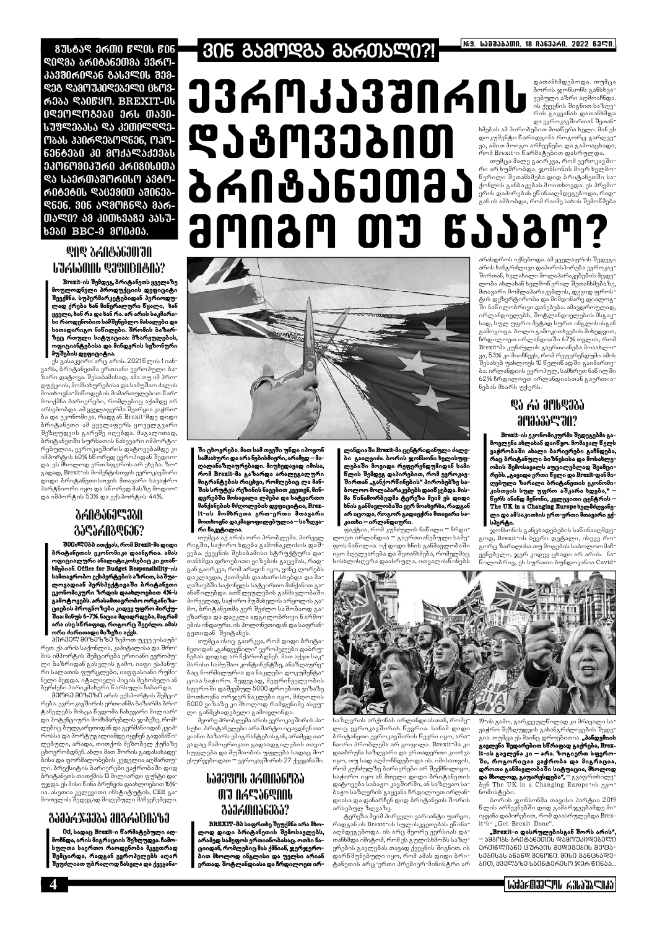**876659 3600 6906 606 ᲓᲘᲓᲛᲐ ᲑᲠᲘᲢᲐᲜᲔᲗᲛᲐ ᲔᲕᲠᲝ-***353060956 8563906 898-***S38 S580730S35SO 6603**რმბა ᲓᲐᲘᲬᲧᲝ. BREXIT-ᲘᲡ 0º3MºM8380 366 0530-ᲡᲣᲤᲚᲔᲑᲐᲡᲐ ᲓᲐ ᲙᲔᲗᲘᲚᲓᲦᲔ-ᲝᲑᲐᲡ ᲰᲞᲘᲠᲓᲔᲑᲝᲓᲜᲔᲜ, ᲝᲞᲝ-ᲜᲔᲜᲢᲔᲑᲘ ᲙᲘ ᲛᲝᲥᲐᲚᲐᲥᲔᲔᲑᲡ ᲔᲙᲝᲜᲝᲛᲘᲙᲣᲠᲘ ᲙᲠᲘᲒᲘᲡᲘᲗᲐ **ᲓᲐ ᲡᲐᲔᲠᲗᲐᲨᲝᲠᲘᲡᲝ ᲐᲕᲢᲝ-**ᲠᲘᲢᲔᲢᲘᲡ ᲓᲐᲪᲔᲛᲘᲗ ᲐᲨᲘᲜᲔᲑ-**9606. 306 598016695 356-**ᲗᲐᲚᲘ? ᲐᲛ ᲙᲘᲗᲮᲕᲐᲒᲔ ᲞᲐᲡᲣ-**6360 BBC-3 3M0305.** 

## **QQQ 7YUQ?PUQYUQ LJALJONL &JBNBN&NJ?**

Brexit-ის შემდეგ, ბრიტანეთს ყველაზე მოულოდნელი პროდუქციის დეფიციტი შეექმნა. სუპერმარკეტებიდან პერიოდულად ქრება ხან მინერალური ნყალი, ხან ყველი, ხან რა და ხან რა. არ არის საკმარისი რაოდენობით სამშენებლო მასალები და სათადარიგო ნანილები. შრომის ბაზარზეც რთული სიტუაციაა: მზარეულების,<br>ოფიციანტებისა და მინდერის სეზონური მუშების დეფიციტია.

ეს გასაკვირი არც არის. 2021წლის 1იან<del>-</del> ვარს, ბრიტანეთმა ერთიანი ევროპული ბაზარი დატოვა. შესაბამისად, ამა თუ იმ პროდუქციის, მომსახურებისა და სამუშაო ძალის მოთხოვნა-მიწოდების მიმართულებით წარმოიქმნა ბარიერები, რომლებიც აქამდე არ არსებობდა. ამ ყველაფერმა შეარყია ვაჭრობა და ეკონომიკა, რადგან Brexit-მდე დიდი ბრიტანეთი ამ ყველაფერს ყოველგვარი შეზღუდვის გარეშე იღებდა. მაგალითად, პრიტანეთში სურსათის ნახევარი იმპორტი<sup>-</sup> რებულია, ევროკავშირის დატოვებამდე კი იმპორტის 60% სწორედ ევროპიდან შედიოდა. ეს მხოლოდ ერთ სფეროს არ ეხება. ზოგადად, Brexit-ის მომენტისთვის ევროკავშირი დიდი ბრიტანეთისთვის მთავარი სავაჭრო პარტნიორი იყო და სწორედ მასზე მოდიოდა იმპორტის 53% და ექსპორტის 44%

## *<u><i><b><u>dolf</u>der Jones 661060*</u> *AJSJANASGJ6?*

შმეძლმბბ ითქვას, რომ Brexit-მა დიდი ბრიტანეთის ეკონომიკა დაანგრია. ამას ოფიციალური ანალიტიკოსებიც კი ეთანbმებიან. Office for Budget Responsibility-ob სამთავრობო ექსპერტების აზრით, საშუალოვადიან პერსპექტივაში ბრიტანეთი ეკონომიკური ზრდის დაახლოებით 4%-ს გამოტოვებს. არასამთავრობო ორგანიზაციების პროგნოზები კიდევ უფრო პირქუ− შია: მინუს 6-7%. ნაცია მდიდრდება, მაგრამ არა ისე სწრაფად, როგორც შეეძლო. ამას ორი ძირითადი მიზეზი აქვს.

პირველ მიზეზზე ზემოთ უკვე ვისაუბრეთ. ეს არის საქონლის, კაპიტალისა და შრომის იმპორტის შემცირება ერთიანი ევროპული ბაზრიდან გასვლის გამო. იაფი ესპანური სალათის ფურცლები, იაფფასიანი რუმინელი მედდა, იტალიელი პიცის მცხობელი ან ბერძენი პარიკმახერი წარსულს ჩაბარდა. მ0ორ0 მიზ0ზი არის ექსპორტის შემცი-

რება. ევროკავშირის ერთიანმა ბაზარმა ბრიტანელებს მისცა წვდომა ნახევარი მილიარ<del>-</del> დი პოტენციური მომხმარებლის ჯიბეზე, რომლებიც ბულგარეთიდან და გერმანიიდან კვიპროსსა და პორტუგალიამდე იყვნენ გადანაწილებული, არადა, თითქოს მეზობელ ქუჩაზე ბისა და ფორმალობების კედელია აღმართული. ბრექსიტის ბარიერები ვაჭრობაში დიდ პრიტანეთს თითქმის 13 მილიარდი ფუნტი და უჯდა. ეს მისი წინა ბრუნვის დაახლოებით 16%ია. ასეთია კვლევითი ინსტიტუტის, CER გამოთვლის შედეგად მიღებული მაჩვენებელი.

# 

#### დათანხმდებოდა. თუმცა 33ᲠᲝᲙᲐᲕᲨᲘᲠᲘᲡ დათააადეთ და. თეაცა<br>პორის ჯონსონს განსხვა-<br>ვებული აზრი აღმოაჩნდა.<br>ის ქვეყნის შიგნით საზღვრის გაყვანას დათანხმდა და ევროკავშირთან შეთან-ᲓᲐᲒᲝᲕᲔᲑᲘᲗ ხმებას ამ პირობებით მოაწერა ხელი. მან ეს დოკუმენტი ნარადგინა როგორც გარღვე-.<br>ვა, ამით მოიგო არჩევნები და გამოაცხადა, ს<br>რომ Brexit-ი წარმატებით დასრულდა. თუმცა მალე გაირკვა, რომ ევროკავშირი არ ხუმრობდა. ჯონსონის მიერ ხელმო-ᲑᲠᲘᲢᲐᲜᲔᲗᲛᲐ ნერილი შეთანხმება დიდ ბრიტანეთში სა- $\sigma$ ეონლის განბაჟებას მოითხოვდა. ეს პრემი- $\sigma$ ერის დაპირებას ენინააღმდეგებოდა, რად-.<br>გან ის ამბობდა, რომ რაიმე სახის შემოწმება **amnam my gjjam?**



ში ცხოვრება. მათ სამ თვეში უნდა იპოვონ სამსახური და არა ნებისმიერი, არამედ - მაღალანაზღაურებადი. მიუხედავად იმისა, რომ Brezit-მა გაზარდა არალეგალური მიგრანტების რიცხვი, რომლებიც ლა მანშის სრუტეს რეზინის ნავებით კვეთენ, მინდვრებში მოსავალი ლპება და სატვირთო მანქანების მძღოლების დეფიციტია, Brexit-ის მომხრეთა ერთ-ერთი მთავარი მოთხოვნა დაკმაყოფილებულია – საზღვარი ჩაკეტილია.

თუმცა აქ არის ორი პრობლემა. პირველ რიგში, საჭირო ხდება გამონაკლისის დაშვება. ქვეყნის შესაბამისი სტრუქტურა დათანხმდა დროებითი ვიზების გაცემას, რადგან გაირკვა, რომ არავინ იყო, ვინც ღორებს დაკლავდა, ქათმებს დაახარისხებდა და მაღაზიებში საქონელს სატვირთო მანქანით გაანანილებდა. ათნლეულების განმავლობაში პირველად, საჭირო მუშახელის არყოლის გამო, ბრიტანეთმა ვერ შეძლო საშობაოდ გაეზარდა და დაეკლა ადგილობრივი წარმოების ინდაური. ის პოლონეთიდან და საფრანგეთიდან შეიტანეს.

თუმცა ისიც გაირკვა, რომ დიდი ბრიტანეთიდან "განდევნილი" ევროპელები დაბრუნებას დიდად არ ჩქარობდნენ. მათ აქვთ საკმარისი სამუშაო კონტინენტზე, ანაზღაურებაც ნორმალურია და ნაკლები დოკუმენტაციაა საჭირო. შედეგად, მეფრინველეობის სფეროში დაშვეპულ 5000 დროებით ვიზაზე მოთხოვნა ორჯერ ნაკლები იყო, მძღოლის 5000 ვიზაზე კი მხოლოდ რამდენიმე ასეუ ლი განმცხადებელი გამოვლინდა.

ღანდიაში Brexit-მა ცენტრიდანული ძალე− ბი გააღვიძა. ბორის ჯონსონი ხელისუფლებაში მოვიდა რეფერენდუმიდან სამი ბოლოო მოლაპარაკებებს დაიწყებდა. მისმა წინამორბედმა ტერეზა მეიმ ეს დიდი ხნის განმავლობაში ვერ მოახერხა, რადგან არ იცოდა, როგორ გადაეჭრა მთავარი საკითხი – ირლანდიური.

ფაქტია, რომ კუნძულის ნანილი − ჩრდი− ლოეთ ირლანდია – გაერთიანებული სამეფოს ნაწილია. იქ დიდი ხნის განმავლობაში იყო მღელვარება და შეთანხმება, რომელმაც სისხლისღვრა დაასრულა, ითვალისწინებს

არასდროს იქნებოდა. ამ ყველაფრის შედეგი არის ხანგრძლივი დაპირისპირება ევროკავშირთან, ხელახალი მოლაპარაკებების მცდელობა ახლახან ხელმონერილ შეთანხმებაზე, მთავარი მომლაპარაკებლის, დევიდ ფროსტის დეზერტირობა და მიმდინარე დიალოგ<sup>–</sup> ში ნანილობრივი დანებება. ამავდროულად, ირლანდიელებს, შოტლანდიელების მსგავსად, სულ უფრო მეტად სურთ ინგლისისგან გამოყოფა. ბოლო გამოკითხვების მიხედვით, .<br>ჩრდილოეთ ირლანდიაში 67% თვლის, რომ Brexit-მა კუნძულის გაერთიანება მოაახლოვა, 53% კი მიიჩნევს, რომ რეფერენდუმი ამის შესახებ უახლოეს 10 წელიწად ში გაიმართება. ირლანდიის ევროპულ, სამხრეთ ნაწილში 62% ჩრდილოეთ ირლანდიასთან გაერთია־ ნებას მხარს უჭერს.

# **@J AJ მՐსᲓᲔᲑᲐ amasaseran?**

Brexit-ის ეკონომიკურმა შედეგებმა გამოვლენა ახლახან დაიწყო. მომავალ წელს ვაჭრობაში ახალი ბარიერები გაჩნდება, რაც ბრიტანული ბიზნესისა და მოსახლეობის შემოსავალს აუცილებლად შეამცირებს. "გავიდა ერთი წელი და Brexit-დან მიღებული ზარალი ბრიტანეთის ეკონომიკისთვის სულ უფრო აშკარა ხდება," წერს ანანდ მენონი, კვლევითი ცენტრის – The UK in a Changing Europe bamddmasonლი და ამსაკითხის ერთ-ერთი მთავარი ექსპერტი.

ჯონსონის განცხადებების საწინააღმდეგოდ, Brexit-ის ბევრი დეტალი, ისევე რო-.<br>გორც ზარალისა თუ მოგების საბოლოო მაჩ<del>-</del> ვენებელი, ჯერ კიდევ ცხადი არ არის. ნანილობრივ, ეს სურათი ბუნდოვანია Covid-



0d, სადაც Brexit-ი ნარმატებული აღმოჩნდა, არის მიგრაციის შეზღუდვა. ჩამოსულთა საერთო რაოდენობა მკვეთრად შემცირდა, რადგან ევროპელებს აღარ შეუძლიათ უბრალოდ ჩასვლა და ქვეყანა-

#### ᲒᲐᲛᲐᲠᲯᲕᲔᲑᲐ ᲛᲘᲒᲠᲐᲪᲘᲐᲖᲔ

BREXIT-მბ საფრთხე შეუქმნა არა მხოლოდ დიდი ბრიტანეთის შემოსავლებს, არამედ სამეფოს ერთიანობასაც. ოთხი ნაციიდან, რომლებიც მას ქმნიან, ჯერჯერო-<mark>ბით მხოლოდ ინგლისი და უელ</mark>სი არიან ერთად. შოტლანდიასა და ჩრდილოეთ ირ-

# ․․․․․․․․․․․․․․․․․․․․․․․․․․․․․ **OJ ASSIGAN** *<u> გაერთიანეგა?</u>*

მეორე პრობლემა არის ევროკავშირის პასუხი. ბრიტანელები არა მარტო იცავდნენ თავიანთ ბაზარს ემიგრანტებისგან, არამედ თავადაც ჩამოერთვათ გადაადგილების თავისუფლება და მუშაობის უფლება სადაც მოესურვებოდათ ― ევროკავშირის 27 ქვეყანაში.

საზღვრის არქონას ირლანდიასთან, რომელიც ევროკავშირის ნევრია. სანამ დიდი ბრიტანეთი ევროკავშირის წევრი იყო, არანაირი პრობლემა არ ყოფილა. Brexit-მა კი დააბრუნა საზღვარი და ერთადერთი კითხვა იყო, თუ სად აღმოჩნდებოდა ის. იმისათვის, რომ კუნძულზე ბარიერები არ შექმნილიყო, საჭირო იყო ან მთელი დიდი ბრიტანეთის დატოვება საბაჟო კავშირში, ან საზღვაო საბაჟო საზღვრის გაყვანა ჩრდილოეთ ირლანდიასა და დანარჩენ დიდ ბრიტანეთს შორის არსებულ ზღვაზე.

ტერეზა მეიმ პირველი ვარიანტი უარყო, რადგან ის Brexit-ის სულისკვეთებას ეწინააღმდეგებოდა. ის არც მეორე ვერსიას დათანხმდა იმიტომ, რომ ეს გულისხმობს საზღვრების გავლებას თავად ქვეყნის შიგნით. ის დარნმუნებული იყო, რომ ამას დიდი ბრიტანეთის არც-ერთი პრემიერ-მინისტრი არ

19-ის გამო, გარკვეულწილად კი მრავალი სა<sup>.</sup> ვაჭრო შეზღუდვის გახანგრძლივების შედეგია. თუმცა ეს მაინც დროებითია. "პანდემიის გავლენა შედარებით სწრაფად გაქრება, Brexit-ის გავლენა კი – არა. ზოგიერთ სფეროში, როგორიცაა ვაჭრობა და მიგრაცია, დროთა განმავლობაში სიტუაცია, მხოლოდ **და მხოლოდ, გაუარესდება",** ― გვაფრთხილე<sup>-</sup> δη The UK in a Changing Europe-ου ηλοნომისტები.

პორის ჯონსონმა თავისი პარტია 2019 ნლის არჩევნებში დიდ გამარჯვებამდე მი- $\alpha$ it-b- "Get Brexit Done".

"Brexit-ი დასრულებისგან შორს არის", ᲐᲛᲑᲝᲑᲡ ᲑᲠᲘᲢᲐᲜᲔᲗᲘᲡ ᲓᲐᲛᲝᲣᲙᲘᲓᲔᲑᲔᲚᲘ ᲔᲠᲗᲬᲚᲘᲐᲜᲘ ᲪᲣᲠᲕᲘᲡ ᲨᲔᲓᲔᲒᲔᲑᲘᲡ ᲨᲔᲤᲐ**-**ᲡᲔᲑᲘᲡᲐᲡ ᲐᲜᲐᲜᲓ ᲛᲔᲜᲝᲜᲘ. ᲛᲘᲡᲘ ᲒᲐᲜᲪᲮᲐᲓᲔ-ᲑᲘᲗ, ᲧᲕᲔᲚᲐᲖᲔ ᲡᲐᲘᲜᲢᲔᲠᲔᲡᲝ ᲯᲔᲠ ᲬᲘᲜᲐᲐ...

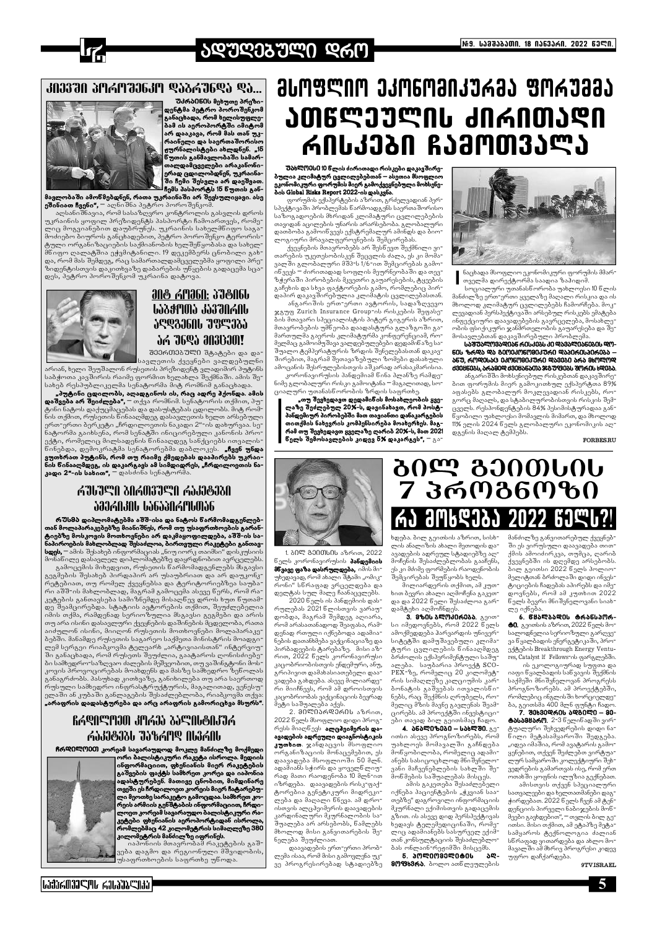# **JQYQJJYMO Q6M**



#### ᲙᲘᲔᲕᲨᲘ ᲞᲝᲠᲝᲨᲔᲜᲙᲝ ᲓᲐᲑᲠᲣᲜᲓᲐ ᲓᲐ..



<mark>უ</mark>კრბ060ს მეხუთე პრეზიდენტმა პეტრო პოროშენკომ \_<br>განაცხადა, რომ ხელისუფლე-<br>ბამ ის აეროპორტში იმიტომ არ დააკავა, რომ მას თან უკრაინელი და საერთაშორისო ჟურნალისტები ახლდნენ. "15 ნუთის განმავლობაში სამართალდამცველები არაკანონი-.<br>ერად ცდილობდნენ, უკრაინაე.<br>ში ჩემი შესვლა არ დაეშვათ ჩემს პასპორტს 15 წუთის გან-

მავლობაში ამოწმებდნენ, რათა უკრაინაში არ შევსულიყავი. ასე ეშინიათ ჩვენი", <sup>—</sup> აღნიშნა პეტრო პოროშენკომ.

აღსანიშნავია, რომ სასაზღვრო კონტროლის გასვლის დროს უკრაინის ყოფილ პრეზიდენტს პასპორტი ჩამოართვეს, რომე ლიც მოგვიანებით დაუბრუნეს. უკრაინის სახელმნიფო საგა მოძიებო ბიუროს განცხადებით, პეტრო პოროშენკო ტერორის .<br>ტული ორგანიზაციების საქმიანობის ხელშენყობასა და სახელ<br>მნიფო ღალატშია ეჭვმიტანილი. 19 დეკემბერს ცნობილი გახ და, რომ მას შემდეგ, რაც სამართალდამცველებმა ყოფილი პრე ზიდენტისთვის დაკითხვაზე დაბარების უნყების გადაცემა სცადეს, პეტრო პოროშენკომ უკრაინა დატოვა.



# <u> ƏNG AMƏ6N: ƏYGN6U</u> 1528005 35370606 JEQ3360L 795335 JA 76QJ AN3130MI

შეერთეგული შტატები და და სავლეთის ქვეყნები ვალდებულნი

არიან, ხელი შეუშალონ რუსეთის პრეზიდენტ ვლადიმირ პუტინს საბჭოთა კავშირის რაიმე ფორმით ხელახლა შექმნაში. ამის შესახებ რესპუბლიკელმა სენატორმა მიტ რომნიმ განაცხადა.

"პუტინი ცდილობს, აღადგინოს ის, რაც ადრე პქონდა. ამის დაშვება არ შეიძლება", <sup>—</sup> თქვა რომნიმ. სენატორის თქმით, პუ ტინი ნატოს დაქუცმაცებას და დასუსტებას ცდილობს. მიტ რომნის თქმით, რუსეთის წინააღმდეგ დასავლეთის ხელთ არსებული ერთ-ერთი ბერკეტი "ჩრდილოეთის ნაკადი 2"-ის დახურვაა. სენატორმა გაიხსენა, რომ სენატში ინიცირებული კანონის პროექტი, რომელიც მილსადენის წინააღდეგ სანქციებს ითვალის წინებდა, დემოკრატმა სენატორებმა დაბლოკეს. **"ჩვენ უნდა** ვუთხრათ პუტინს, რომ თუ რაიმე ქმედებას დააპირებს უკრაინის ნინააღმდეგ, ის დაკარგავს ამ სიმდიდრეს, "ჩრდილოეთის ნა-<br>კადი 2"-ის სახით", — დასძინა სენატორმა.

# ᲠᲣᲡᲣᲚᲘ ᲑᲘᲠᲗᲕᲣᲚᲘ ᲠᲐᲙᲔᲢᲔᲑᲘ <u>ƏƏƏWIIƏIIN PƏPƏSIJULINMƏP</u>

რ შსმბ დიპლომატებმა აშშ-ისა და ნატოს ნარმომადგენლებ თან მოლაპარაკებებზე მიანიშნეს, რომ თუ უსაფრთხოების გარან .<br>ტიებზე მოსკოვის მოთხოვნები არ დაკმაყოფილდება, აშშ-ის სა-<br>ნაპიროების მახლობლად შესაძლოა, ბირთვული რაკეტები განთავ**სდეს,** — ამის შესახებ ინფორმაციას "ნიუ იორკ თაიმსი" დისკუსიის

მონაწილე დასავლელ დიპლომატებზე დაყრდნობით ავრცელებს გამოცემის მიხედვით, რუსეთის წარმომადგენლებს მსგავსი

გეგშების შესახებ პირდაპირ არ უსაუბრიათ და არ დაუკონკ-<br>რეტებიათ, თუ რომელ ქვეყნებსა და ტერიტორიებზეა საუბარი აშშ-ის მახლობლად, მაგრამ გამოცემა ასევე წერს, რომ რაკეტების განთავსება სამიზნემდე მისაღნევ დროს ხუთ ნუთამდე შეამცირებდა. სტატიის ავტორების თქმით, შეუძლებელია იმის თქმა, რამდენად სერიოზულია მსგავსი გეგმები და არის თუ არა ისინი დასავლური ქვეყნების დაშინების მცდელობა, რათა აიძულონ ისინი, მიიღონ რუსეთის მოთხოვნები მოლაპარაკე პებში. მანამდე რუსეთის საგარეო საქმეთა მინისტრის მოადგილემ სერგეი რიაბკოვმა ტელეარხ "არტივიაისთან" ინტერვიუ ში განაცხადა, რომ რუსეთს შეუძლია, გაატაროს ღონისძიებეპი სამხედრო-საზღვაო ძალების შეშვეობით, თუ ვაშინგტონი მოს კოვის პროვოცირებას მოახდენს და მასზე სამხედრო ზეწოლას განაგრძობს. პასუხად კითხვაზე, განიხილება თუ არა საერთოდ რუსული სამხედრო ინფრასტრუქტურის, მაგალითად, ვენესუ ელაში ან კუბაში განლაგების შესაძლებლობა, რიაბკოვმა თქვა

RASNANDO JULIO JOANA SUMBOJJA

ԹԴԴՑՈՏԻ ԱՐԳԿԱՐ ՍԻՑԵՐԻ

ჩრᲓ0ᲚᲝᲔᲗ კორეამ სავარაუდოდ მოკლე მანძილზე მოქმედი

ᲛᲡᲝᲤᲚᲘᲝ ᲔᲙᲝᲜᲝᲛᲘᲙᲣᲠᲛᲐ ᲤᲝᲠᲣᲛᲛᲐ <u>ᲐᲗᲬᲚᲔᲣᲚᲘᲡ ᲫᲘᲠᲘᲗᲐᲓᲘ</u> ᲠᲘᲡᲙᲔᲑᲘ ᲩᲐᲛᲝᲗᲕᲐᲚᲐ

შახᲚᲝᲔᲡᲘ 10 წლის ძირითადი რისკები დაკავშირე-dob Global Risks Report 2022-ob gob 3360.

ფორუმის ექსპერტების აზრით, გრძელვადიან პერსპექტივაში პრობლემას წარმოადგენს საერთაშორისო საზოგადოების მხრიდან კლიმატური ცვლილებების თავიდან აცილების უნარის არარსებობა. გლობალური დათბობა გამოიწვევს ექსტრემალურ ამინდს და ბიოლოგიური მრავალფეროვნების შემცირებას.

ქვეყნების მთავრობებს არ შესწევთ შექმნილი ვითარების უკეთესობისკენ შეცვლის ძალა, ეს კი მომავალში გლობალური მშპ-ს 1/6-ით შემცირებას გამოინვევს – ძირითადად სოფლის მეურნეობაში და თევზჭერაში პირობების მკვეთრი გაუარესების, ტყეების გაჩეხის და სხვა ფაქტორების გამო, რომლებიც პირდაპირ დაკავშირებულია კლიმატის ცვლილებასთან.

ანგარიშის ერთ-ერთი ავტორის, სადაზღვევო ჯგუფ Zurich Insurance Group-ის რისკების შეფასების მთავარი სპეციალისტის პიტერ გიგერის აზრით, მთავრობების უმნეობა დაადასტურა გლაზგოში გამართულმა გაეროს კლიმატურმა კონფერენციამ, რომელმაც გამოიშუშავა ვალდებულებები დედამინაზე საშუალო ტემპერატურის ზრდის შენელებასთან დაკავშირებით, მაგრამ შეთავაზებული ზომები დასახული ამოცანის შესრულებისთვის აშკარად არასაკმარისია.

კორონავირუსის პანდემიამ წინა პლანზე რამდე ნიმე გლობალური რისკი გამოიტანა – მაგალითად, სოციალური უთანასწოროპის ზრდის საფრთხე.

\_\_\_\_<br>ლაზე შევხედავთ დედამინის მოსახლეობის ყვე-<br>ლაზე შეძლებულ 20%-ს, დავინახავთ, რომ პოსტპანდემიურ პირობებში მათ თავიანთი დანაკარგების თითქმის ნახევრის კომპენსირება მოახერხეს. მაგ− რამ თუ შევხედავთ ყველაზე ღარიბ 20%-ს, მათ 2021 წელს შემოსავლების კიდევ <mark>ნ%</mark> დაკარგეს",  $\pm$  გა $\pm$ 



ნაცხადა მსოფლიო ეკონომიკური ფორუმის მმარ<sup>.</sup> თველმა დირექტორმა საადია ზაჰიდიმ

სოციალური უთანასწორობა უახლოესი 10 წლის მანძილზე ერთ-ერთი ყველაზე მაღალი რისკია და ის მხოლოდ კლიმატურ ცვლილებებს ჩამორჩება. მოკლევადიან პერსპექტივაში არსებულ რისკებს ემატება ინფექციური დაავადებების გავრცელება, მოსახლეობის ფსიქიკური ჯანმრთელობის გაუარესება და შემოსავლებთან დაკავშირებული პრობლემა

<u>ᲡᲐᲨᲣᲐᲚᲝᲕᲐᲓᲘᲐᲬ ᲠᲘᲡᲙᲔᲑᲡ ᲙᲘ ᲓᲐᲕᲐᲚᲘᲐᲜᲔᲑᲘᲡ ᲓᲝ-</u> ᲜᲘᲡ ᲖᲠᲓᲐ ᲓᲐ ᲒᲔᲝᲔᲙᲝᲜᲝᲛᲘᲙᲣᲠᲘ ᲓᲐᲞᲘᲠᲘᲡᲞᲘᲠᲔᲑᲐ – **১**६Უ, ᲠᲝᲓᲔᲡᲐᲪ ᲔᲙᲝᲜᲝᲛᲘᲙᲣᲠᲘ ᲓᲐᲕᲔᲑᲘ ᲐᲠᲐ ᲛᲮᲝᲚᲝᲓ d3086086, 56580Q d30856500536878086 8M606 6Q085.

ანგარიშში მოხსენიებულ რისკებთან დაკავშირებით ფორუმის მიერ გამოკითხულ ექსპერტთა 89% აფასებს გლობალურ მოკლევადიან რისკებს, რო<del>-</del> გორც მაღალს, და სტაბილურობისთვის რისკის შემ-.<br>ცველს. რესპონდენტების 84% პესიმისტურადაა გან-.<br>წყობილი უახლოესი მომავლის მიმართ<mark>, დ</mark>ა მხოლოდ 11% ელის 2024 წელს გლობალური ეკონომიკის აღდგენის მაღალ ტემპებს.

**FORBES.RU** 



1. პ0Ლ გეითსის აზრით, 2022 ნელს კორონავირუსის **პანდემიის** მწვავე ფაზა დასრულდება, იმის მიუხედავად, რომ ახალი შტამი "ომიკრონი" სწრაფად ვრცელდება და დელტას სულ მალე ჩაანაცვლებს.

2020 წელს ის პანდემიის დასრულებას 2021 წლისთვის ვარაუდობდა, მაგრამ შემდეგ აღიარა, რომ არასათანადოდ შეაფასა, რამდენად რთული იქნებოდა ადამიანების დათანხმება ვაქცინაციაზე და პირბადეების ტარებაზე. მისი აზრით, 2022 წელს კორონავირუსი კაცობრიობისთვის ენდემური, ანუ, გრიპივით დამახასიათებელი დაავადება გახდება. ასევე მილიარდერი მიიჩნევს, რომ ამ დროისთვის კაცობრიობას ვაქცინაციის ბევრად მეტი საშუალება აქვს.

 $2.3090006906000036$ 

2022 წელს მსოფლიო დიდი პროგ-

რესს მიაღწევს **ალცპეიმერის და-**

ავადების ადრეული დიაგნოსტიკის

კუთხით. ჯანდაცვის მსოფლიო

ორგანიზაციის მონაცემებით, ეს

დაავადება მსოფლიოში 50 მლნ.

ადამიანს სჭირს და ყოველნლიუ-

# **7000000 2000** 7 ᲞᲠᲝᲒᲜᲝᲖᲘ **3M69333 2022 6396**

ხდება. ბილ გეითსის აზრით, სისხლის ანალიზის ახალი მეთოდის დაავადების ადრეულ სტადიებზე აღმოჩენის შესაძლებლობას გააჩენს, ეს კი მძიმე ფორმების რაოდენობის შემცირებას შეუნყობს ხელს.

მილიარდერის თქმით, ამ კუთ<del>-</del> ხით ბევრი ახალი აღმოჩენა გაკეთდა და 2022 წელი შესაძლოა გარდამტეხი აღმოჩნდეს

.<br>3. **მზ0ს პᲚᲝᲙ0რმბბ.** გეითსი იმედოვნებს, რომ 2022 წელს ამოქმედდება პარვარდის უნივერსიტეტში დამუშავებული კლიმატური ცვლილების ნინააღმდეგ ბრძოლის ექსპერიმენტული საშუალება. საუბარია პროექტ SCO-PEX-ზე, რომელიც 20 კილომეტრის სიმაღლეზე კალციუმის კარბონატის გაშვებას ითვალისნინებს, რაც შექმნის ღრუბელს, რომელიც მზის მავნე გავლენას შეამმანძილზე განვითარებულ ქვეყნებ ში ეს ვირუსული დაავადება თითქმის ამოიძირკვა, თუმცა, ღარიბ ქვეყნებში ის დღემდე არსებობს. ბილ გეითსი 2022 წელს პოლიომელიტთან ბრძოლაში დიდი ინვესტიციების ჩადებას აპირებს და იმედოვნებს, რომ ამ კუთხით 2022 ნელს ბევრი მნიშვნელოვანი სიახლე იქნება

6. ᲬᲧᲐᲚᲑᲐᲓᲘᲡ ᲢᲠᲐᲜᲡᲞᲝᲠ**ტ0.** გეითსის აზრით, 2022 წელს მოსალოდნელია სერიოზული გარღვევა წყალბადის ენერგეტიკაში, პროექტების Breakthrough Energy Ventures, Catalyst If Fellows-ის ფარგლებში.

ის ეკოლოგიურად სუფთა და იაფი წყალბადის საწვავის შექმნის საქმეში მნიშვნელოვან პროგრესს პროგნოზირებს. ამ პროექტებში, რომლებიც ინგლისში ხორციელდე-.<br>ბა, გეითსმა 400 მლნ ფუნტი ჩადო **ტბსბმშბრო.** 2-3 წელინადში ვირტუალური შეხვედრების დიდი ნანილი მეტასამყაროში შედგება. "იდეა იმაშია, რომ ავატარის გამოყენებით, თქვენ შეძლებთ ვირტუალურ სამყაროში კოლექტიური შეხ-

## いむんの339ル んいむこのむ

.<br>ინფორმაციით, ფხენიანის მიერ რაკეტების<br>გაშვების ფაქტს სამხრეთ კორეა და იაპონია ადასტურებენ. მათივე ცნობით, მიმდინარე თვეში ეს ჩრდილოეთ კორეის მიერ ჩატარებუ-.<br>ლი მეოთხე სარაკეტო გამოცდაა სამხრეთ კორეის არმიის გენშტაბის ინფორმაციით, ჩრდი ლოეთ კორეამ სავარაუდო ბალისტიკური რაკეტები ფხენიანის აეროპორტიდან ისროლა რომლებმაც 42 კილომეტრის სიმაღლეზე 380 კილომეტრის მანძილზე იფრინეს. იაპონიის მთავრობამ რაკეტების გაშ<del>·</del> ვება დაგმო და რეგიონული მშვიდობის<sub>.</sub> .<br>უსაფრთხოების საფრთხე უნოდა.

.<br>ირი ბალისტიკური რაკეტა ისროლა. მედიის

რად მათი რაოდენობა 10 მლნ-ით იზრდება. დაავადების რისკ-ფაქტორებია გენეტიკური მიდრეკი<del>-</del> ლება და მაღალი ნნევა. ამ დროისთვის ალცჰეიმერის დაავადების კარდინალური მკურნალობის სა-.<br>შუალება არ არსებობს, ნამლებს მხოლოდ მისი განვითარების შენელება შეუძლიათ.

დაავადების ერთ-ერთი პრობლემა ისაა, რომ მისი გამოვლენა უკვე პროგრესირებად სტადიებზე იქნება პაციენტების "ჭკვიან საათებზე" დაგროვილი ინფორმაციის მკურნალი ექიმისთვის გადაცემის გზით. ის ასევე დიდ პერსპექტივას ხედავს ტელემედიცინაში, რომელიც ადამიანებს სასურველ ექიმ<del>-</del> თან კონსულტაციის შესაძლებლოპას ონლაინ-რეჟიმში მისცემს. 5. amentagement აღ-80086860. ბოლო ათნლეულების

ცირებს. ამ პროექტში ინვესტიციები თავად ბილ გეითსმაც ჩადო. - 4. ანალიზები – სახლში. <sub>გე</sub> ითსი ასევე პროგნოზირებს, რომ .<br>უახლოეს მომავალში გაჩნდება<br>მონყობილობა, რომელიც ადამი− ანებს სასიცოცხლოდ მნიშვნელოვანი მაჩვენებლების სახლში შემონმების საშუალებას მისცეს. ამის გაკეთება შესაძლებელი

ვედრების გამართვას ისე, რომ ერთ ოთახში ყოფნის ილუზია გექნებათ. ამისთვის თქვენ სპეციალური სათვალეები და ხელთათმანები დაგჭირდებათ. 2022 წელს ჩვენ ამ ტენ დენციის პირველი ნაბიჯების მოწმეები გავხდებით", – თვლის ბილ გეითსი. მისი თქმით, ამ ეტაპზე მეტასამყაროს ტექნოლოგია ძალიან სწრაფად ვითარდება და ახლო მომავალში ამ მხრივ პროგრესი კიდევ უფრო დაჩქარდება. 9TV.ISRAEL



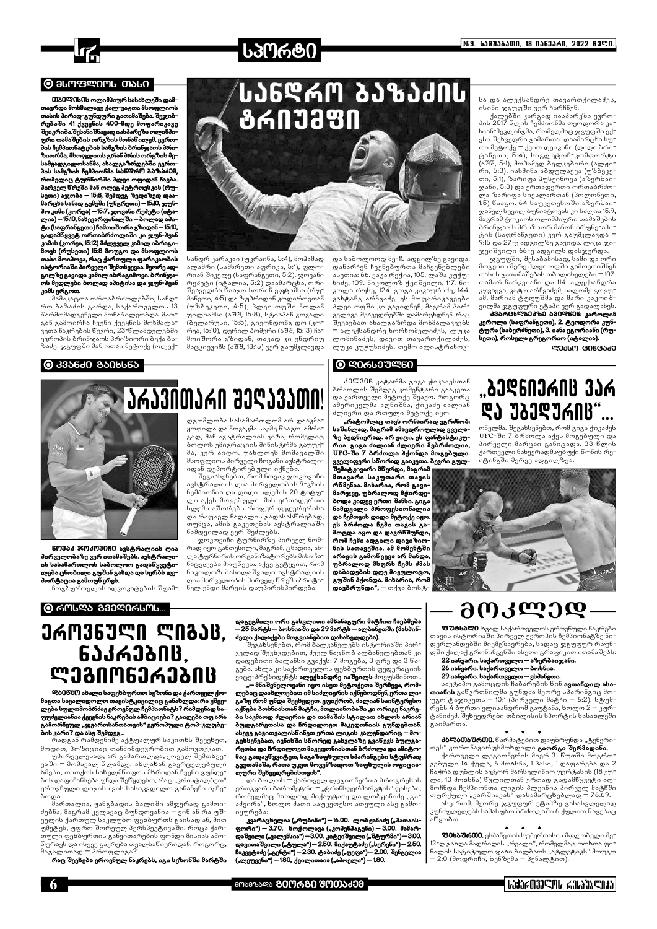

#### $\odot$  arwardwr  $\omega$

0) გელესეს ოლიმპიურ სასახლეში დამთავრდა მოხმალავე ქალ-ვაჟთა მსოფლიოს თასის პირად-გუნდური გათამაშება. შეჯიბ–<br>რებაში 41 ქვეყნის 400-მდე მოფარიკავე .<br>შეიკრიბა.შესანიშნავად იასპარეზა ოლიშპიის და.<br>ური თამაშების ორგზის მონაწილემ, ევროპის ჩემპიონატების სამგზის ბრინჯაოს პრიზიორმა, მსოფლიოს გრან პრის ორგზის მე− სამეადგილოსანმა, ახალგაზრდებში ევროპის სამგზის ჩემპიონმა სანდრო ბაზაძმმ, რომელიც <mark>ტურნირში პ</mark>ლეი ოფიდან ჩაება პირველ წრეში მან ოლეგ პეტროვსკის (რუ− სეთი) აჯობა – 15:8, შემდეგ ზედიზედ დაა მარცხა სანად გემეში (უნგრეთი) — 15:10, ჯუნპო კიმი (კორეა) — 15:7, ჯოვანი რეპეტი (იტალია) — 1ნ:10, ნახევარფინალში — ბოლად აპიტი (საფრანგეთი) ჩამოიშორა გზიდან — 15:10, გადამნყვეტ ორთაბრძოლაში კი ჯუნ-ჰვან კიმის (კორეა, 15:12) მძლეველ კამილ იბრაგიმოვს (რუსეთი) 15:8 მოუგო და მსოფლიოს თასი მოიპოვა, რაც ქართული ფარიკაობის ისტორიაში პირველი შემთხვევაა. მეორე ადგილზე გავიდა კამილ იბრაგიმოვი. ბრინჯაოს მედლები ბოლად აპიტისა და ჯუნ-ჰვან კიმს ერგოთ.

მამაკაცთა ორთაბრძოლებში, სანდრო ბაზაძის გარდა, საქართველოს 13<br>ნარმომადგენელი მონანილეობდა. მათგან გამოირჩა ჩვენი ქვეყნის მოხმალა-<br>ვეთა ნაკრების ნევრი, 23-ნლამდელებში ევროპის ბრინჯაოს პრიზიორი ბექა ბაზაძე. ჯგუფში მან ოთხი მეტოქე (ოლექ-

# <u> LJ6C4M 6128140</u> **8603380**

**სპორტი** 

სანდრ კარაკაი (უკრაინა, 5:4), მოჰამად ალამრი (სამხრეთი აფრიკა, 5:1), ფლორიან შიკელე (საფრანგეთი, 5:2), ჯოვანი რეპეტი (იტალია, 5:2) დაამარცხა, ორი შეხვედრა ნააგო სორინ ეფტიმსა (რუმინეთი, 4:5) და ზუჰრიდინ კოდიროვთან (უზბეკეთი, 4:5), პლეი ოფში ნოლან უილიამსი (აშშ, 15:8), სტიაპან კოვალი (პელარუსი, 15:5), გიეონდონგ დო (კორეა, 15:10), დერილ ჰომერი (აშშ, 15:13) ჩამოიშორა გზიდან, თავად კი ენდრიუ მაცკიევიჩს (აშშ, 13:15) ვერ გაუმკლავდა

შეგახსენებთ, რომ ნოვაკ ჯოკოვიჩი

ლია პირველობის პირველ წრეში ბრიტა<sup>.</sup>

ნელ ენდი მარეის დაუპირისპირდება.

და საბოლოოდ მე-15 ადგილზე გავიდა დანარჩენ ჩვენებურთა მაჩვენებლები ასეთია: 66. ვაჟა რეჭია, 105. ლაშა კუჭუხიძე, 109. ნიკოლოზ ჭეიშვილი, 117. ნიკოლა რუსე, 124. გოგა კაკაურიძე, 144. ვახტანგ არჩვაძე. ეს მოფარიკავეები პლეი ოფში კი გავიდნენ, მაგრამ პირველივე შეხვედრებში დამარცხდნენ. რაც შეეხებათ ახალგაზრდა მოხმალავეებს ალექსანდრე ხორხომელიძეს, ლუკა ლომინაძეს, დავით თავართქილაძეს, ლუკა კუჭუხიძეს, თემო ალისტრახოვ-

#### 

კელვ∩ნ კატარმა გიგა ჭიკაძესთან ბრძოლის შემდეგ კომენტარი გააკეთა და ქართველი მეტოქე შეაქო. როგორც ამერიკელმა აღნიშნა, ჭიკაძე ძალიან ძლიერი და რთული მეტოქე იყო.

"რატომღაც თავს ორნაირად ვგრძნობ: საშინლად, მაგრამ ამავდროულად ყველაზე ბედნიერად. არ ვიცი, ეს ფანტასტიკურია. გიგა ძალიან ძლიერი მებრძოლია, UFC-ში 7 ბრძოლა პქონდა მოგებული. ყველაფერი სწორად გააკეთა. ბევრი გულ-

.<br>შემატკივარი მნერდა, მაგრამ მთავარი საკუთარი თავის რწმენაა. მიხარია, რომ გავი− მარჯვე, უბრალოდ მჭირდე-.<br>ბოდა კიდევ ერთი შანსი. გიგა ნამდვილი პროფესიონალია და ჩემთვის დიდი მეტოქე იყო. ეს ბრძოლა ჩემი თავის გამოცდა იყო და დავრნმუნდი, რომ ჩემი ადგილი დივიზიონის სათავეშია. ამ მომენტში<br>არავის გამოწვევა არ მინდა, უბრალოდ მსურს ჩემს ძმას დაბადების დღე მივულოცო<mark>,</mark> გუშინ ჰქონდა. მიხარია, რომ დავბრუნდი", <sup>—</sup> თქვა ბოსტსა და ალექსანდრე თავართქილაძეს, ისინი ჯგუფში ვერ ჩარჩნენ.

ქალებში კარგად იასპარეზა ევროპის 2017 წლის ჩემპიონმა თეოდორა კახიან-მეკლინგმა, რომელმაც ჯგუფში ექ<del>-</del> ვსი შეხვედრა გამართა. დაამარცხა ხუ<del>-</del> კა., აყ-ყა.,<br>თი მეტოქე − ქეით დეიკინი (დიდი ბრი−<br>ტანეთი, 5:4), სიგლეტონ-კომფორტი (აშშ, 5:1), მოჰამედ ბელკებირი (ალჟი<sup>-</sup> .<br>რი, 5:3), იასმინა აბდულაევა (უზბეკე<sup>-</sup> თი, 5:1), ზარიფა <mark>პ</mark>უსეინოვა (აზერბაი<sup>-</sup> ჯანი, 5:3) და ერთადერთი ორთაბრძო<del>-</del> ლა ზარიფა სიესლართან (პოლონეთი, 1:5) წააგო. 64 საუკეთესოში აზერბაიჯანელ სევილ ბუნიატოვას კი სძლია 15:9, მაგრამ ტოკიოს ოლიმპიური თამაშების ბრინჯაოს პრიზიორ მანონ ბრუნე∹აპი∹ ტის (საფრანგეთი) ვერ გაუმკლავდა <sup>-</sup> .<br>9:15 და 27-ე ადგილზე გავიდა. ლიკა ჯი ჯეიშვილი 66-ე ადგილს დასჯერდა.

ჯგუფში, შესაბამისად, სამი და ორი მოგების მერე პლეი ოფში გამოეთიშნენ თასის გათამაშებას თბილისელები <del>–</del> 107. თამარ ჩარკვიანი და 114. ალექსანდრა .<br>კუვაევა; კატო არჩვაძემ, სალომე გოგუ<del>-</del> ამ, მარიამ ტუღუშმა და მარი კაკოიშ<del>.</del> ვილმა ჯგუფური ეტაპი ვერ გადალახეს

<u>პმარGხლპეკზე ავილნენ. კაროლინ</u> კეროლი (საფრანგეთი), 2. ტეოდორა კუნტურა (საბერძნეთი), 3. იანა ეგორიანი (რუ− სეთი), როსელა გრეგორიო (იტალია).

ᲚᲔᲥᲡᲝ (ᲞᲘᲜᲪᲐᲫᲔ

#### ● ᲙᲕᲐᲜᲫᲘ ᲒᲐᲘᲮᲡᲜᲐ



603ბძ 3003080 ავსტრალიის ღია<br>-პირველობაზე ვერ ითამაშებს ავსტრალი ის სასამართლოს საბოლოო გადაწყვეტი− ლება ცნობილი გუშინ გახდა და სერბს დე− პორტაცია გამოუ<mark>ნერეს.</mark>

ჩოგბურთელის ადვოკატების შუამ<del>-</del>

#### $\odot$  ᲠᲝᲡᲦᲐ ᲒᲕᲔᲦᲘᲠᲡᲝᲡ...

# **JAM36JᲚN ᲚᲘᲒᲐᲪ.** ᲜᲐᲙᲠᲔᲑᲘᲪ. ᲚᲔᲒᲘᲝᲜᲔᲠᲔᲑᲘᲪ

Დბ0წ8Ო ახალი საფეხბურთო სეზონი და ქართველ ქო−

და რაფაელ ნადალის გადასასწრებად, თუმცა, ამის გაკეთებას ავსტრალიაში ნამდვილად ვერ შეძლებს. ჯოკოვიჩი ტურნირზე პირველ ნომრად იყო განთესილი, მაგრამ, ცხადია, ახლა ტურნირის ორგანიზატორებს მისი ჩანაცვლება მოუნევთ. აქვე გეტყვით, რომ ნიკოლოზ ბასილაშვილი ავსტრალიის

"ᲑᲔᲦᲜᲘᲔᲠᲘᲪ ᲕᲐᲠ ዴን ᲔᲑᲔᲓᲣᲠᲘᲪ"...

ონელმა. შეგახსენე<mark>ბთ, რომ გიგა ჭიკაძე</mark>ს UFC-ში 7 პრძოლა აქვს მოგებული და პირველი მარცხი განიცადა. 33 წლის ქართველი ნახევრადმსუბუქი წონის რე<del>-</del> იტინგში მერვე ადგილზეა



დაგეგმილი ორი გასვლითი ამხანაგური მა<mark>ტჩ</mark>ით ჩაებმება — 25 მარტს — ბოსნიაში და 29 მარტს — ალბანეთში (მასპინ– ძელი ქალაქები მოგვიანებით დასახელდება).

შეგახსენებთ, რომ ბალკანელებს ისტორიაში პირველად შევხვდებით, ძველ ნაცნობ ალბანელებთან კი დადებითი ბალანსი გვაქვს: 7 მოგება, 3 ფრე და 3 წაგება. ა<mark>ხ</mark>ლა კი საქართველოს ფე<mark>ხ</mark>ბურთის ფედერაციის ვიცე-პრეზიდენტს **ალექსანდრე იაშვილს** მოვუსმინოთ.

– მნიშვნელოვანი იყო ისეთ მეტოქეთა შეოჩევა, რომლებიც დაახლოებით იმ სიძლიერის იქნებოდნენ, ერთა ლით. ვფიქრობ, ძა<sub>!</sub> ენდა შიი

იქნება ბოსნიასთან მატჩი, მთლიანობაში კი ორივე ნაკრე-

ბი საკმაოდ ძლიერია და თამაშის სტილით ახლოს არიან

ბულგარეთისა და ჩრდილოეთ მაკედონიის გუნდებთან.

# მᲝᲙᲚᲔᲓ

**ფუტსალე.** ხვალ საქართველოს ეროვნული ნაკრები თავის ისტორიაში პირველ ევროპის ჩემპიონატზე ნი− დერლანდებში მიემგზავრება, სადაც ჯგუფურ რაუნდში ქალაქ გრონინგენში ასეთი გრაფიკით ითამაშებს:

22 იანვარი. საქართველო – აზერბაიჯანი. 26 იანვარი. საქართველო — ბოსნია.  $29$  იანვარი. საქართველო — ესპანეთი.

საეტაპო გამოცდის ჩაბარების წინ **ავთანდილ ასა**თიანის განვრთნილმა გუნდმა მეორე სპარინგიც მო<del>-</del> iam გაჯიკეთს = 10:1 (პირველი მაგჩი = 6:2). სტუმ  $\tilde{m}_0$ პს 4 პურთი ელისანდრომ გაუტანა, ხოლო 2 – კურტანიძემ. შეხვედრები თბილისის სპორტის სასახლეში გაიმართა.

#### ນດະ ლება სულთმობრძავ ეროვნულ ჩემპიონატს? რამდენად საფუძვლიანია ქვეყნის ნაკრების ამბიციები? გაიღება თუ არა გამორჩეულ "ჯვაროსანთათვის" ევროპული ტოპ-კლუბე-.<br>ბის კარი? და ასე შემდეგ...

რადგან რამდენიმე აქტუალურ საკითხს შევეხეთ, მოდით, პოზიციაც თანმიმდევრობით გამოვთქვათ. უპირველესად, არ გამართლდა, ყოველ შემთხვე<del>-</del> ვაში – მომავალ ნლამდე, ახლახან გავრცელებული ხმები, თითქოს სახელმნიფოს მხრიდან ჩვენი გუნდების დაფინანსება უნდა შეწყდესო, რაც "კრისტალბეთ" ეროვნული ლიგისთვის სასიკვდილო განაჩენი იქნებოდა.

მართალია, ჟანგბადის ბალიში ამჯერად გამოიძებნა, მაგრამ კვლავაც ბუნდოვანია - ვინ ან რა უშველის ქართულ საკლუბო ფეხბურთს გაისად ან, მით უმეტეს, უფრო შორეულ პერსპექტივაში, როცა ქართული ფეხბურთის განვითარების ფონდი მისიას ამოწურავს და ისევე გაქრება თვალსაწიერიდან, როგორც, მაგალითად ― პროფლიგა?

.<br>რაც შეეხება ეროვნულ ნაკრებს, იგი სეზონში მარტში

6

აძვირა", ხოლო მათი საუკეთესო ათეული ასე გამოიყურე<mark>ბ</mark>ა:

ასევე გავითვალისწინეთ ერთა ლიგის კალენდარიც – მოგეხსენებათ, ივნის ში სწორედ გასვლაზე გვინევს ბულგარეთსა და ჩრდილოეთ მაკედონიასთან ბრძოლა და ამიტომაც გადავწყვიტეთ, საგაზაფხულო სპარინგები სტუმრად გვეთამაშა, რათა უკეთ მოვემზადოთ ზაფხულის ოფიციალური შეხვედრებისთვის". \_<br>და ბოლოს <sup>—</sup> ქართველ ლეგიონერთა პროგრესის ერთგვარი ბარომეტრი – "ტრანსფერმარკტის" ფასები, რომელმაც მხოლოდ მიქაუტაძე და ლობჟანიძე "გა<del>-</del>

კვარაცხელია ("რუბინი") — 16.00. ლობჟანიძე ("<mark>პ</mark>ათაისფორი") — 3.70. ხოჭოლავა ("კოპენჰაგენი) — 3.00. მამარდაშვილი ("ვალენსია") – 3.00. კიტეიშვილი ("შტურმი") – 3.00. დავითაშვილი ("ტულა") — 2.50. მიქაუტაძე ("სერენი") — 2.50. ჩაკვეტაძე ("გენტი") — 2.30. ტაბიძე ("უეფა") — 2.00. შენგელია ("ლეუვენი") — 180, ქვილითაია ("აპოელი") — 180.

#### $\star$  $\ddot{\bullet}$  $\ast$

**კალათაურთი.** წარმატებით დაუბრუნდა "ტენერიფეს" კორონავირუსმოხდილი **გიორგი შერმადინი.** ქართველი ლეგიონერის მიერ 31 წუთში მოგროვებული 14 ქულა, 6 მოხსნა, 1 პასი, 1 დაფარება და 2 ჩაჭრა დუბლის ავტორ მარსელინიო უერტასის (18 ქულა, 10 მოხსნა) წვლილთან ერთად გადამწყვეტი აღმოჩნდა ჩემპიონთა ლიგის პლეინის პირველ მატჩში თურქული "კარშიაკას" დასამარცხებლად = 76:69.

.<br>ასე რომ, მეორე ჯგუფურ ეტაპზე გასასვლელად კუნძულელებს საპასუხო ბრძოლაში 6 ქულით ნაგებაც ანყობთ.

**ფმხბშრ00.** ესპანეთის სუპერთასის მფლობელი მე- $12$ -დ გახდა მადრიდის "რეალი", რომელმაც ოთხთა ფინალის სატიტულო ჯახი ბილბაოს "ატლეტიკს" მოუგო .<br>2:0 (მოდრიჩი, ბენზემა = პენალტით).

#### **amsasses 80M680 8MMSd08**

#### | WAXABACTI KAWACIA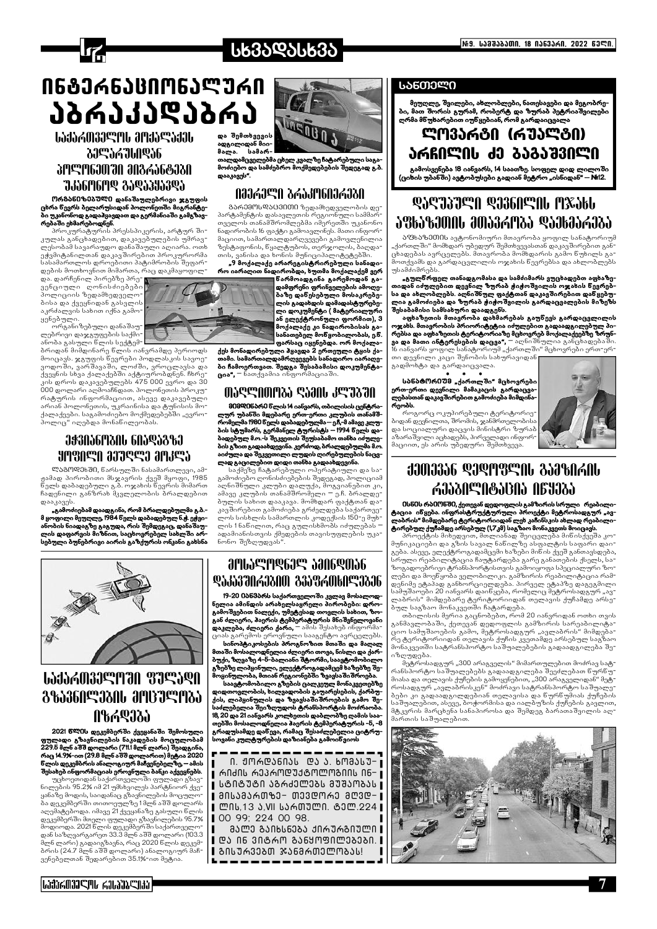

# **სხვაᲓᲐᲡᲮᲕᲐ**

# <u>ᲘᲜᲒᲔᲠᲜᲐᲪᲘᲝᲜᲐᲚᲣᲠᲘ</u> <u> ᲔᲛᲓᲔᲙᲔᲜᲔ</u>9ᲓᲔ **WAYAMAYAN ANAYEYAN** და შემთხვევის ადგილიდან მიი-

# ᲞᲝᲚᲝᲜᲔᲗᲨᲘ ᲛᲘᲒᲠᲐᲜ**ᲢᲔ**ᲑᲘ **JJJ6M6MQ 3JQJ3JJ3QY**

**ორ**განიზმპული დანაშაულებრივი ჯგუფის ცხრა წევრს ბელარუსიდან პოლონეთში მიგრანტები უკანონოდ გადაჰყავდათ და გერმანიაში გამგზავრებაში ეხმარებოდნენ.

პროკურატურის პრესსპიკერის, არტურ შიკულას განცხადებით, დაკავებულების უმრავლესობამ სავარაუდო დანაშაული აღიარა. ოთხ ეჭვმიტანილთან დაკავშირებით პროკურორმა სასამართლოს დროებითი პატიმრობის შეფარდების მოთხოვნით მიმართა, რაც დაკმაყოფილ

და. დარჩენილ პირებზე პრე∹∎ ვენციული ღონისძიებები პოლიციის ზედამხედველო ბისა და ქვეყნიდან გასვლის აკრძალვის სახით იქნა გამოყენებული.

ორგანიზებული დანაშაულებრივი დაჯგუფების საქმი∹ ანობა გასული წლის სექტემ-

ბრიდან მიმდინარე ნლის იანვრამდე პერიოდს მოიცავს. ჯგუფის წევრები პოდლასკის სავოევოდოში, ვარშავაში, ლოძში, ვროცლავსა და ქვეყნის სხვა ქალაქებში აქტიურობდნენ. ჩხრეკის დროს დაკავებულებს 475 000 ევრო და 30 000 დოლარი აღმოაჩნდათ. პოლონეთის პროკურატურის ინფორმაციით, ასევე დაკავებული არიან პოლონეთის, უკრაინისა და ტუნისის მოქალაქეები. საგამოძიებო მოქმედებებში "ევროპოლიც" იღებდა მონაწილეობას.

# ᲔᲭᲕᲘᲐᲜᲝᲑᲘᲡ ᲜᲘᲐᲓᲐᲒᲖᲔ **HUBUGU PASCR UMBUR**

ლაგოდეხში, წარსულში ნასამართლევი, ამ− ჟამად პირობითი მსჯავრის ქვეშ მყოფი, 1985 ნელს დაბადებული გ.ბ. ოჯახის ნევრის მიმართ ჩადენილი განზრახ მკვლელობის ბრალდებით დააკავეს

"გამოძიებამ დაადგინა, რომ ბრალდებულმა გ.ბ.მ ყოფილი მეუღლე, 1984 წელს დაბადებულ ნ.ჭ. ეჭვიანობის ნიადაგზე გაგუდა, რის შემდეგაც, დანაშაულის დაფარვის მიზნით, საცხოვრებელ სახლში არსებული ბუნებრივი აირის გაზქურის ონკანი გახსნა



.<br>თალდამცველებმა ცხელ კვალზე ჩატარებული საგა−<br>მოძიებო და სამძებრო მოქმედებების შედეგად გ.ბ. დააკავეს".

# NAJAJIN YAYULUYUYU

გ<mark>არემᲝᲡᲓᲐᲪᲕᲘᲗᲘ</mark> ზედამხედველობის დე<sup>-</sup> პარტამენტის დასავლეთის რეგიონული სამმარ თველოს თანამშრომლებმა იშერეთში უკანონო ნადირობის 16 ფაქტი გამოავლინეს. მათი ინფორ მაციით, სამართალდარღვევები გამოვლენილია ზესტაფონის, წყალტუბოს, თერჯოლის, ბაღდა თის, ვანისა და ხონის მუნიციპალიტეტებში.

"9 მოქალაქე არარეგისტრირებული სანადირო იარაღით ნადირობდა, ხუთმა მოქალაქემ ვერ

.<br>ნარმოადგინა გარემოდან გადამფრენი ფრინველების ამოღე− ბაზე დანესებული მოსაკრებე− ლის გადახდის დამადასტურებელი დოკუმენტი (მატერიალური ან ელექტრონული ფორმით), 3 მოქალაქე კი ნადირობისას გასანათებელ მონყობილობას, ე.წ. ფარსაც იყენებდა. ორ მოქალ<mark>ა-</mark>

ქეს მონადირებული პყავდა 2 ერთეული ტყის ქათამი. სამართალდამრღვევებს სანადირო იარაღები ჩამოერთვათ. შედგა შესაბამისი დოკუმენტა- $\alpha$ ია",  $\alpha$ ნათქვამია ინფორმაციაში

## ՊᲐᲦᲚᲘᲗᲝᲑᲐ ᲦᲐᲛᲘᲡ ᲙᲚᲣᲑᲨᲘ

მ0მᲓ0ნბრმ წლის 14 იანვარს, თბილისის ცენტრალურ უბანში მდებარე ერთ-ერთი კლუბის თანამშრომელმა 1980 წელს დაბადებულმა — ეჩ, მ ამავე კლუ<br>ბის სტუმარს, გერმანელ ტურისტს — 1994 წელს დაბადებულ მ.ო.-ს შეკვეთის შეუსაბამო თანხა იძულების გზით გადაახდევინა. კერძოდ, ბრალდებულმა მ.ო. აიძულა და შეკვეთილი ლუდის ღირებულების ნაცვლად გაცილებით დიდი თანხა გადაახდევინა.

საქმეზე ჩატარებული ოპერატიული და სა გამოძიებო ღონისძიებების შედეგად, პოლიციამ აღნიშნული კლუბი დალუქა, მოგვიანებით კი, ამავე კლუბის თანამშრომელი = ე.ჩ. ბრალდეპულის სახით დააკავა. მომხდარ ფაქტთან და კავშირებით გამოძიება გრძელდება საქართვე ლოს სისხლის სამართლის კოდექსის 150-ე მუხ ლის 1ნანილით, რაც გულისხმობს იძულებას ადამიანისთვის ქმედების თავისუფლების უკა ნონო შეზღუდვას"



*<b>LIJIAM3JEMAN 8JEJQN <b>&&\$\$6N%3&NU ∂MB`J^@M&\$* 

# *<u>ANIYAH&EI& PIULAHUK</u>* **QJJJJJJJJJJJJANN 33JY36MkNC317J6**

19-20 0ბნმბრს საქართველოში კვლავ მოსალოდნელია ამინდის არახელსაყრელი პირობები: დროგამოშვებით ნალექი, უმეტესად თოვლის სახით, ზოგან ძლიერი, პაერის ტემპერატურის მნიშვნელოვანი დაკლება, ძლიერი ქარი, <sup>—</sup> ამის შესახებ ინფორმა ციას გარემოს ეროვნული სააგენტო ავრცელებს

სინოპტიკოსების პროგნოზით მთაში და მაღალ მთაში მოსალოდნელია ძლიერი თოგა, ნისლი და ქარბუქი, ზღვაზე 4-ნ-ბალიანი შტორმი, საავტომობილო ბემებმ ლიპყინული, ელექტროგადამცემ ხაზებზე შე− მოყინულობა, მთიან რეგიონებში <sup>გ</sup>ეგავსაშიშროება.

საავტომობილო გზების ცალკეულ მონაკვეთებზე დიდთოვლობის, ხილვადობის გაუარესების, ქარბუქის, ლიპყინულის და ზვავსაშიშროების გამო შესაძლებელია შეიზღუდოს ტრანსპორტის მოძრაობა. 18, 20 და 21 იანვარს კოლხეთის დაბლობზე ღამის საათებში მოსალოდნელია ჰაერის ტემპერატურის -ნ, -8 გრადუსამდე დაწევა, რამაც შესაძლებელია ციტრუსოვანი კულტურების დაზიანება გამოინვიოს

#### ᲡᲐᲜᲗᲔᲚᲘ

მეუღლე, შვილები, ახლობლები, ნათესავები და მეგობრები, მათ შორის გურამ, რობერტ და ზურაბ პეტრიაშვილები ღრმა მწუხარებით იუწყებიან, რომ გარდაიცვალა

# ᲚᲝᲕᲐᲠᲒᲘ (ᲠᲣᲐᲚᲒᲘ) ᲐᲠᲩᲘᲚᲘᲡ ᲫᲔ ᲑᲐᲒᲐᲨᲕᲘᲚᲘ

გამოსვენება 18 იანვარს, 14 საათზე. სოფელ დიდ ლილოში (ციხის უბანში) ავტობუსები გადიან მეტრო "ისნიდან" — №12.

# **QJQJJJQN QJ36090U MXJbU** ᲐᲤᲮᲐᲖᲔᲗᲘᲡ ᲛᲗᲐᲕᲠᲝᲑᲐ ᲓᲐᲔᲮᲛᲐᲠᲔᲑᲐ

.<br><mark>აფსაზმ000ს</mark> ავტონომიური მთავრობა ყოფილ სანატორიუმ ,,ქართლში" მომხდარ უბედურ შემთხვევასთან დაკავშირებით განცხადებას ავრცელებს. მთავრობა მომხდარის გამო ნუხილს გამოთქვამს და გარდაცვლილის ოჯახის წევრე<mark>ბსა და ახლობლებს</mark> უსამძიმრებს.

"გულნრფელ თანადგომასა და სამძიმარს ვუცხადებთ აფხაზეთიდან იძულებით დევნილ ზურაბ ჭიჭოშვილის ოჯახის ნევრებსა და ახლობლებს. აღნიშნულ ფაქტთან დაკავშირებით დაწყებუ− ლია გამოძიება და ზურაბ ჭიჭოშვილის გარდაცვალების მიზეზს \_\_<br>შესაბამისი სამსახური დაადგენს.

აფხაზეთის მთავრობა დახმარებას გაუწევს გარდაცვლილის ოჯახს. მთავრობის პრიორიტეტია იძულებით გადაადგილებულ პირებსა და აფხაზეთის ტერიტორიაზე მცხოვრებ მოქალაქეებზე ზრუნართალი და მათი ინტერეს და მართალი და მართალი და მათი და მათი ინტერესების დაცვა", – აღნიშნულია განცხადებაში.<br>16 იანვარს ყოფილ სანატორიუმ "ქართლში" მცხოვრები ერთ-ერ-

თი დევნილი კაცი შენობის სახურავიდან| გადმოხტა და გარდაიცვალა.

სბნბტ∩რ0შმ "ქართლში" მცხოვრები ერთ-ერთი დევნილი მამაკაცის გარდაცვა-<br>ლებასთანდაკავშირებითგამოძიება მიმდინარეობს.

როგორც ოკუპირებული ტერიტორიე-.<br>პიდან დევნილთა, შრომის, ჯანშრთელობის. და სოციალური დაცვის მინისტრი ზურაბ აზარაშვილი აცხადებს, პირველადი ინფორ მაციით, ეს არის უბედური შემთხვევა.

# **JJ01336 &J&U&CUP 379&UYUP** ᲠᲔᲐᲑᲘᲚᲘᲢᲐᲪᲘᲐ ᲘᲜᲧᲔᲑᲐ

0სწ0ს რბ00580, ქეთევან დედოფლის გამზირის სრული რეაბილიტაცია ინყება. ინფრასტრუქტურული პროექტი მეტროსადგურ "ავ− .<br>ტირებულ ქუჩამდე არსებულ (1,7კმ) საგზაო მონაკვეთს მოიცავს.

პროექტის მიხედვით, მთლიანად შეიცვლება მინისქვეშა კო მუნიკაციები და გზის სავალ ნანილზე ასფალტის საფარი დაიგება. ასევე, ელექტროგადამცემი ხაზები მინის ქვეშ განთავსდება, სოული რეაბილიტაცია ჩაუტარდება გარე განათების ქსელს, სა<sup>-</sup> ზოგადოებრივი ტრანსპორტისთვის გამოიყოფა სპეციალური ზოლები და მოეწყობა ველობილიკი. გამზირის რეაბილიტაცია რამდენიმე ეტაპად განხორციელდება. პირველ ეტაპზე დაგეგმილი სამუშაოები 20 იანვარს დაიწყება, რომელიც მეტროსადგურ "ავლაბრის" მიმდებარე ტერიტორიიდან თელავის ქუჩამდე არსე<del>-</del> ბულ საგზაო მონაკვეთში ჩა<mark>ტარდება.</mark>

თბილისის მერია გაცნობებთ, რომ 20 იანვრიდან ოთხი თვის განმავლობაში, ქეთევან დედოფლის გამზირის სარეაბილიტა<del>-</del> ციო სამუშაოების გამო, მეტროსადგურ "ავლაბრის" მიმდებარე ტერიტორიიდან თელავის ქუჩის კვეთამდე არსებულ საგზაო მონაკვეთში სატრანსპორტო საშუალებების გადაადგილება შეიზღუდება.

მეტროსადგურ "300 არაგველის" მიმართულებით მოძრავ სატრანსპორტო საშუალებებს გადაადგილება შეეძლებათ წურწუ<del>-</del> მიასა და თელავის ქუჩების გამოყენებით, "300 არაგველიდან" მეტ<del>-</del> როსადგურ "ავლაბრისკენ" მოძრავი სატრანსპორტო საშუალე-.<br>ბები კი გადაადგილდებიან თელავისა და ნურნუმიას ქუჩების საშუალებით, ასევე, ბოჭორმისა და იალბუზის ქუჩების გავლით, მტკვრის მარცხენა სანაპიროსა და შემდეგ ბარათაშვილის აღმართის საშუალებით.



მალა.



2021 წლეს დეკემბერში ქვეყანაში შემოსული ფულადი გზავნილების ნაკადების მოცულობამ 229.5 მლნ აშშ დოლარი (711.1 მლნ ლარი) შეადგინა, რაც 14.9%-ით (29.8 მლნ აშშ დოლარით) მეტია 2020 წლის დეკემბრის ანალოგიურ მაჩვენებელზე, — ამის  $\overline{\boldsymbol{\theta}}$ ესახებ ინფორმაციას ეროვნული ბანკი აქვეყნებს.

უცხოეთიდან საქართველოში ფულადი გზავნილების 95.2% იმ 21 უმსხვილეს პარტნიორ ქვეყანაზე მოდის, საიდანაც გზავნილების მოცულო ბა დეკემბერში თითოეულზე 1მლნ აშშ დოლარს აღემატებოდა. იმავე 21 ქვეყანაზე გასული წლის დეკემბერში მთელი ფულადი გზავნილების 95.7% მოდიოდა. 2021 წლის დეკემბერში საქართველოდან საზღვარგარეთ 33.3 მლნ აშშ დოლარი (103.3 მლნ ლარი) გადაიგზავნა, რაც 2020 წლის დეკემპრის (24.7 მლნ აშშ დოლარი) ანალოგიურ მაჩვენებელთან შედარებით 35.1%-ით მეტია.

Ი. ᲟᲝᲠᲓᲐᲜᲘᲐᲡ **ᲓᲐ** Ა. ᲮᲝᲛᲐᲡᲣ<del>-</del> ∎ ᲠᲘᲫᲘᲡ ᲠᲔᲞᲠᲝᲓᲣᲥᲒᲝᲚᲝᲒᲘᲘᲡ ᲘᲜ– ෦ ᲡᲒᲘᲒᲣᲒᲘ ᲐᲒᲠᲫᲔᲚᲔᲑᲡ ᲛᲣᲨᲐᲝᲑᲐᲡ | | ᲛᲘᲡᲐᲛᲐᲠᲗᲖᲔ– ᲗᲔᲕᲓᲝᲠᲔ ᲛᲦᲕ**Დ**–| ∥ ᲚᲘᲡ,13 Ა,Ⅶ ᲡᲐᲠᲗᲣᲚᲘ. ᲢᲔᲚ.224 I 00 99; 224 00 98. ᲛᲐᲚᲔ ᲒᲐᲘᲮᲡᲜᲔᲑᲐ ᲥᲘᲠᲣᲠᲒᲘᲣᲚᲘ **I** 

∎ ᲒᲘᲡᲣᲠᲕᲔᲑᲗ ᲯᲐᲜᲛᲠᲗᲔᲚᲝᲑᲐᲡ!